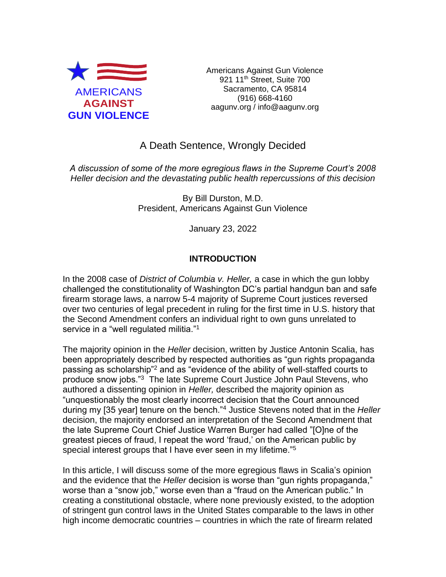

Americans Against Gun Violence 921 11<sup>th</sup> Street, Suite 700 Sacramento, CA 95814 (916) 668-4160 aagunv.org / info@aagunv.org

# A Death Sentence, Wrongly Decided

*A discussion of some of the more egregious flaws in the Supreme Court's 2008 Heller decision and the devastating public health repercussions of this decision*

> By Bill Durston, M.D. President, Americans Against Gun Violence

> > January 23, 2022

# **INTRODUCTION**

In the 2008 case of *District of Columbia v. Heller,* a case in which the gun lobby challenged the constitutionality of Washington DC's partial handgun ban and safe firearm storage laws, a narrow 5-4 majority of Supreme Court justices reversed over two centuries of legal precedent in ruling for the first time in U.S. history that the Second Amendment confers an individual right to own guns unrelated to service in a "well regulated militia."<sup>1</sup>

The majority opinion in the *Heller* decision, written by Justice Antonin Scalia, has been appropriately described by respected authorities as "gun rights propaganda passing as scholarship"<sup>2</sup> and as "evidence of the ability of well-staffed courts to produce snow jobs."<sup>3</sup> The late Supreme Court Justice John Paul Stevens, who authored a dissenting opinion in *Heller,* described the majority opinion as "unquestionably the most clearly incorrect decision that the Court announced during my [35 year] tenure on the bench."<sup>4</sup> Justice Stevens noted that in the *Heller* decision, the majority endorsed an interpretation of the Second Amendment that the late Supreme Court Chief Justice Warren Burger had called "[O]ne of the greatest pieces of fraud, I repeat the word 'fraud,' on the American public by special interest groups that I have ever seen in my lifetime."<sup>5</sup>

In this article, I will discuss some of the more egregious flaws in Scalia's opinion and the evidence that the *Heller* decision is worse than "gun rights propaganda," worse than a "snow job," worse even than a "fraud on the American public." In creating a constitutional obstacle, where none previously existed, to the adoption of stringent gun control laws in the United States comparable to the laws in other high income democratic countries – countries in which the rate of firearm related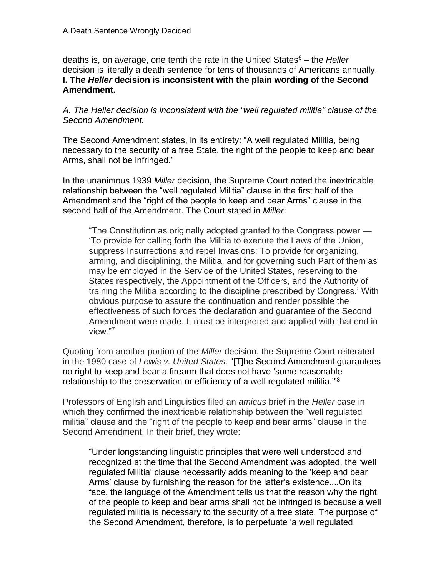deaths is, on average, one tenth the rate in the United States<sup>6</sup> – the *Heller* decision is literally a death sentence for tens of thousands of Americans annually. **I. The** *Heller* **decision is inconsistent with the plain wording of the Second Amendment.**

*A. The Heller decision is inconsistent with the "well regulated militia" clause of the Second Amendment.*

The Second Amendment states, in its entirety: "A well regulated Militia, being necessary to the security of a free State, the right of the people to keep and bear Arms, shall not be infringed."

In the unanimous 1939 *Miller* decision, the Supreme Court noted the inextricable relationship between the "well regulated Militia" clause in the first half of the Amendment and the "right of the people to keep and bear Arms" clause in the second half of the Amendment. The Court stated in *Miller*:

"The Constitution as originally adopted granted to the Congress power — 'To provide for calling forth the Militia to execute the Laws of the Union, suppress Insurrections and repel Invasions; To provide for organizing, arming, and disciplining, the Militia, and for governing such Part of them as may be employed in the Service of the United States, reserving to the States respectively, the Appointment of the Officers, and the Authority of training the Militia according to the discipline prescribed by Congress.' With obvious purpose to assure the continuation and render possible the effectiveness of such forces the declaration and guarantee of the Second Amendment were made. It must be interpreted and applied with that end in view."<sup>7</sup>

Quoting from another portion of the *Miller* decision, the Supreme Court reiterated in the 1980 case of *Lewis v. United States,* "[T]he Second Amendment guarantees no right to keep and bear a firearm that does not have 'some reasonable relationship to the preservation or efficiency of a well regulated militia.'"<sup>8</sup>

Professors of English and Linguistics filed an *amicus* brief in the *Heller* case in which they confirmed the inextricable relationship between the "well regulated militia" clause and the "right of the people to keep and bear arms" clause in the Second Amendment. In their brief, they wrote:

"Under longstanding linguistic principles that were well understood and recognized at the time that the Second Amendment was adopted, the 'well regulated Militia' clause necessarily adds meaning to the 'keep and bear Arms' clause by furnishing the reason for the latter's existence....On its face, the language of the Amendment tells us that the reason why the right of the people to keep and bear arms shall not be infringed is because a well regulated militia is necessary to the security of a free state. The purpose of the Second Amendment, therefore, is to perpetuate 'a well regulated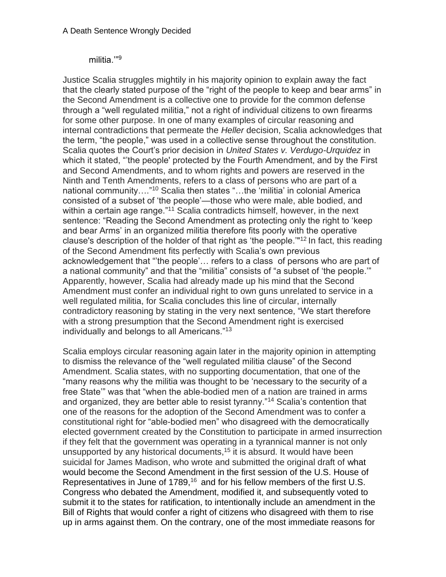# militia.'"<sup>9</sup>

Justice Scalia struggles mightily in his majority opinion to explain away the fact that the clearly stated purpose of the "right of the people to keep and bear arms" in the Second Amendment is a collective one to provide for the common defense through a "well regulated militia," not a right of individual citizens to own firearms for some other purpose. In one of many examples of circular reasoning and internal contradictions that permeate the *Heller* decision, Scalia acknowledges that the term, "the people," was used in a collective sense throughout the constitution. Scalia quotes the Court's prior decision in *United States v. Verdugo-Urquidez* in which it stated, "'the people' protected by the Fourth Amendment, and by the First and Second Amendments, and to whom rights and powers are reserved in the Ninth and Tenth Amendments, refers to a class of persons who are part of a national community…."<sup>10</sup> Scalia then states "…the 'militia' in colonial America consisted of a subset of 'the people'—those who were male, able bodied, and within a certain age range."<sup>11</sup> Scalia contradicts himself, however, in the next sentence: "Reading the Second Amendment as protecting only the right to 'keep and bear Arms' in an organized militia therefore fits poorly with the operative clause's description of the holder of that right as 'the people.'"<sup>12</sup> In fact, this reading of the Second Amendment fits perfectly with Scalia's own previous acknowledgement that "'the people'… refers to a class of persons who are part of a national community" and that the "militia" consists of "a subset of 'the people.'" Apparently, however, Scalia had already made up his mind that the Second Amendment must confer an individual right to own guns unrelated to service in a well regulated militia, for Scalia concludes this line of circular, internally contradictory reasoning by stating in the very next sentence, "We start therefore with a strong presumption that the Second Amendment right is exercised individually and belongs to all Americans."<sup>13</sup>

Scalia employs circular reasoning again later in the majority opinion in attempting to dismiss the relevance of the "well regulated militia clause" of the Second Amendment. Scalia states, with no supporting documentation, that one of the "many reasons why the militia was thought to be 'necessary to the security of a free State'" was that "when the able-bodied men of a nation are trained in arms and organized, they are better able to resist tyranny."<sup>14</sup> Scalia's contention that one of the reasons for the adoption of the Second Amendment was to confer a constitutional right for "able-bodied men" who disagreed with the democratically elected government created by the Constitution to participate in armed insurrection if they felt that the government was operating in a tyrannical manner is not only unsupported by any historical documents,<sup>15</sup> it is absurd. It would have been suicidal for James Madison, who wrote and submitted the original draft of what would become the Second Amendment in the first session of the U.S. House of Representatives in June of 1789,<sup>16</sup> and for his fellow members of the first U.S. Congress who debated the Amendment, modified it, and subsequently voted to submit it to the states for ratification, to intentionally include an amendment in the Bill of Rights that would confer a right of citizens who disagreed with them to rise up in arms against them. On the contrary, one of the most immediate reasons for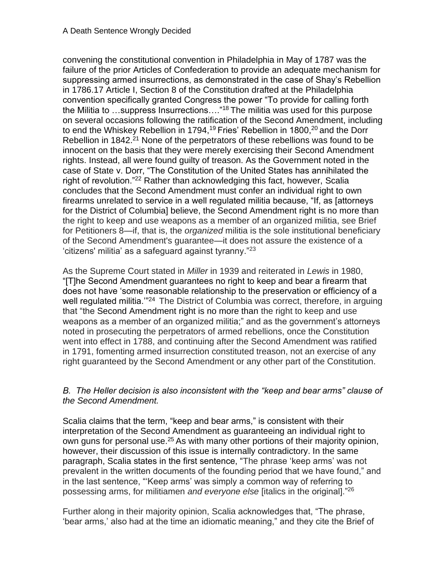convening the constitutional convention in Philadelphia in May of 1787 was the failure of the prior Articles of Confederation to provide an adequate mechanism for suppressing armed insurrections, as demonstrated in the case of Shay's Rebellion in 1786.17 Article I, Section 8 of the Constitution drafted at the Philadelphia convention specifically granted Congress the power "To provide for calling forth the Militia to …suppress Insurrections…."<sup>18</sup> The militia was used for this purpose on several occasions following the ratification of the Second Amendment, including to end the Whiskey Rebellion in 1794,<sup>19</sup> Fries' Rebellion in 1800,<sup>20</sup> and the Dorr Rebellion in 1842.<sup>21</sup> None of the perpetrators of these rebellions was found to be innocent on the basis that they were merely exercising their Second Amendment rights. Instead, all were found guilty of treason. As the Government noted in the case of State v. Dorr, "The Constitution of the United States has annihilated the right of revolution."<sup>22</sup> Rather than acknowledging this fact, however, Scalia concludes that the Second Amendment must confer an individual right to own firearms unrelated to service in a well regulated militia because, "If, as [attorneys for the District of Columbia] believe, the Second Amendment right is no more than the right to keep and use weapons as a member of an organized militia, see Brief for Petitioners 8—if, that is, the *organized* militia is the sole institutional beneficiary of the Second Amendment's guarantee—it does not assure the existence of a 'citizens' militia' as a safeguard against tyranny."<sup>23</sup>

As the Supreme Court stated in *Miller* in 1939 and reiterated in *Lewis* in 1980, "[T]he Second Amendment guarantees no right to keep and bear a firearm that does not have 'some reasonable relationship to the preservation or efficiency of a well regulated militia.<sup>324</sup> The District of Columbia was correct, therefore, in arguing that "the Second Amendment right is no more than the right to keep and use weapons as a member of an organized militia;" and as the government's attorneys noted in prosecuting the perpetrators of armed rebellions, once the Constitution went into effect in 1788, and continuing after the Second Amendment was ratified in 1791, fomenting armed insurrection constituted treason, not an exercise of any right guaranteed by the Second Amendment or any other part of the Constitution.

# *B. The Heller decision is also inconsistent with the "keep and bear arms" clause of the Second Amendment.*

Scalia claims that the term, "keep and bear arms," is consistent with their interpretation of the Second Amendment as guaranteeing an individual right to own guns for personal use.<sup>25</sup> As with many other portions of their majority opinion, however, their discussion of this issue is internally contradictory. In the same paragraph, Scalia states in the first sentence, "The phrase 'keep arms' was not prevalent in the written documents of the founding period that we have found," and in the last sentence, "'Keep arms' was simply a common way of referring to possessing arms, for militiamen *and everyone else* [italics in the original]."<sup>26</sup>

Further along in their majority opinion, Scalia acknowledges that, "The phrase, 'bear arms,' also had at the time an idiomatic meaning," and they cite the Brief of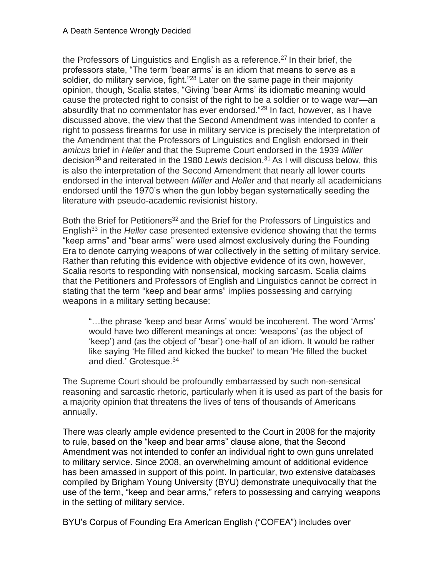the Professors of Linguistics and English as a reference.<sup>27</sup> In their brief, the professors state, "The term 'bear arms' is an idiom that means to serve as a soldier, do military service, fight."<sup>28</sup> Later on the same page in their majority opinion, though, Scalia states, "Giving 'bear Arms' its idiomatic meaning would cause the protected right to consist of the right to be a soldier or to wage war—an absurdity that no commentator has ever endorsed."<sup>29</sup> In fact, however, as I have discussed above, the view that the Second Amendment was intended to confer a right to possess firearms for use in military service is precisely the interpretation of the Amendment that the Professors of Linguistics and English endorsed in their *amicus* brief in *Heller* and that the Supreme Court endorsed in the 1939 *Miller*  decision<sup>30</sup> and reiterated in the 1980 *Lewis* decision.<sup>31</sup> As I will discuss below, this is also the interpretation of the Second Amendment that nearly all lower courts endorsed in the interval between *Miller* and *Heller* and that nearly all academicians endorsed until the 1970's when the gun lobby began systematically seeding the literature with pseudo-academic revisionist history.

Both the Brief for Petitioners<sup>32</sup> and the Brief for the Professors of Linguistics and English<sup>33</sup> in the *Heller* case presented extensive evidence showing that the terms "keep arms" and "bear arms" were used almost exclusively during the Founding Era to denote carrying weapons of war collectively in the setting of military service. Rather than refuting this evidence with objective evidence of its own, however, Scalia resorts to responding with nonsensical, mocking sarcasm. Scalia claims that the Petitioners and Professors of English and Linguistics cannot be correct in stating that the term "keep and bear arms" implies possessing and carrying weapons in a military setting because:

"…the phrase 'keep and bear Arms' would be incoherent. The word 'Arms' would have two different meanings at once: 'weapons' (as the object of 'keep') and (as the object of 'bear') one-half of an idiom. It would be rather like saying 'He filled and kicked the bucket' to mean 'He filled the bucket and died.' Grotesque.<sup>34</sup>

The Supreme Court should be profoundly embarrassed by such non-sensical reasoning and sarcastic rhetoric, particularly when it is used as part of the basis for a majority opinion that threatens the lives of tens of thousands of Americans annually.

There was clearly ample evidence presented to the Court in 2008 for the majority to rule, based on the "keep and bear arms" clause alone, that the Second Amendment was not intended to confer an individual right to own guns unrelated to military service. Since 2008, an overwhelming amount of additional evidence has been amassed in support of this point. In particular, two extensive databases compiled by Brigham Young University (BYU) demonstrate unequivocally that the use of the term, "keep and bear arms," refers to possessing and carrying weapons in the setting of military service.

BYU's Corpus of Founding Era American English ("COFEA") includes over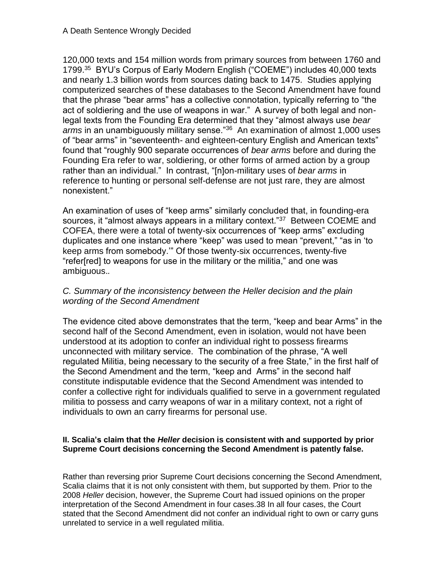120,000 texts and 154 million words from primary sources from between 1760 and 1799.<sup>35</sup> BYU's Corpus of Early Modern English ("COEME") includes 40,000 texts and nearly 1.3 billion words from sources dating back to 1475. Studies applying computerized searches of these databases to the Second Amendment have found that the phrase "bear arms" has a collective connotation, typically referring to "the act of soldiering and the use of weapons in war." A survey of both legal and nonlegal texts from the Founding Era determined that they "almost always use *bear*  arms in an unambiguously military sense.<sup>"36</sup> An examination of almost 1,000 uses of "bear arms" in "seventeenth- and eighteen-century English and American texts" found that "roughly 900 separate occurrences of *bear arms* before and during the Founding Era refer to war, soldiering, or other forms of armed action by a group rather than an individual." In contrast, "[n]on-military uses of *bear arms* in reference to hunting or personal self-defense are not just rare, they are almost nonexistent."

An examination of uses of "keep arms" similarly concluded that, in founding-era sources, it "almost always appears in a military context."<sup>37</sup> Between COEME and COFEA, there were a total of twenty-six occurrences of "keep arms" excluding duplicates and one instance where "keep" was used to mean "prevent," "as in 'to keep arms from somebody.'" Of those twenty-six occurrences, twenty-five "refer[red] to weapons for use in the military or the militia," and one was ambiguous.*.*

# *C. Summary of the inconsistency between the Heller decision and the plain wording of the Second Amendment*

The evidence cited above demonstrates that the term, "keep and bear Arms" in the second half of the Second Amendment, even in isolation, would not have been understood at its adoption to confer an individual right to possess firearms unconnected with military service. The combination of the phrase, "A well regulated Militia, being necessary to the security of a free State," in the first half of the Second Amendment and the term, "keep and Arms" in the second half constitute indisputable evidence that the Second Amendment was intended to confer a collective right for individuals qualified to serve in a government regulated militia to possess and carry weapons of war in a military context, not a right of individuals to own an carry firearms for personal use.

# **II. Scalia's claim that the** *Heller* **decision is consistent with and supported by prior Supreme Court decisions concerning the Second Amendment is patently false.**

Rather than reversing prior Supreme Court decisions concerning the Second Amendment, Scalia claims that it is not only consistent with them, but supported by them. Prior to the 2008 *Heller* decision, however, the Supreme Court had issued opinions on the proper interpretation of the Second Amendment in four cases.38 In all four cases, the Court stated that the Second Amendment did not confer an individual right to own or carry guns unrelated to service in a well regulated militia.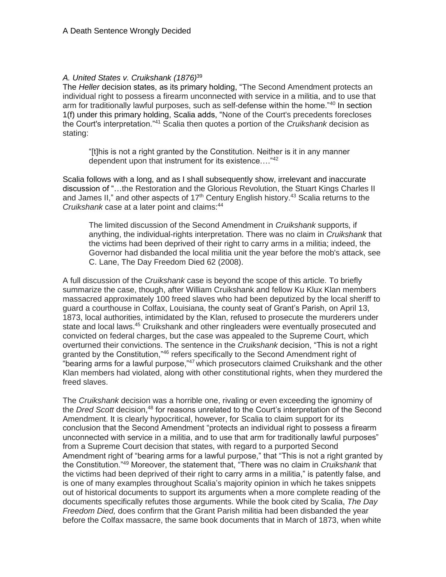### *A. United States v. Cruikshank (1876)*<sup>39</sup>

The *Heller* decision states, as its primary holding, "The Second Amendment protects an individual right to possess a firearm unconnected with service in a militia, and to use that arm for traditionally lawful purposes, such as self-defense within the home."<sup>40</sup> In section 1(f) under this primary holding, Scalia adds, "None of the Court's precedents forecloses the Court's interpretation."<sup>41</sup> Scalia then quotes a portion of the *Cruikshank* decision as stating:

"[t]his is not a right granted by the Constitution. Neither is it in any manner dependent upon that instrument for its existence…."<sup>42</sup>

Scalia follows with a long, and as I shall subsequently show, irrelevant and inaccurate discussion of "…the Restoration and the Glorious Revolution, the Stuart Kings Charles II and James II," and other aspects of  $17<sup>th</sup>$  Century English history.<sup>43</sup> Scalia returns to the *Cruikshank* case at a later point and claims:<sup>44</sup>

The limited discussion of the Second Amendment in *Cruikshank* supports, if anything, the individual-rights interpretation. There was no claim in *Cruikshank* that the victims had been deprived of their right to carry arms in a militia; indeed, the Governor had disbanded the local militia unit the year before the mob's attack, see C. Lane, The Day Freedom Died 62 (2008).

A full discussion of the *Cruikshank* case is beyond the scope of this article. To briefly summarize the case, though, after William Cruikshank and fellow Ku Klux Klan members massacred approximately 100 freed slaves who had been deputized by the local sheriff to guard a courthouse in Colfax, Louisiana, the county seat of Grant's Parish, on April 13, 1873, local authorities, intimidated by the Klan, refused to prosecute the murderers under state and local laws.<sup>45</sup> Cruikshank and other ringleaders were eventually prosecuted and convicted on federal charges, but the case was appealed to the Supreme Court, which overturned their convictions. The sentence in the *Cruikshank* decision, "This is not a right granted by the Constitution,"<sup>46</sup> refers specifically to the Second Amendment right of "bearing arms for a lawful purpose,"<sup>47</sup> which prosecutors claimed Cruikshank and the other Klan members had violated, along with other constitutional rights, when they murdered the freed slaves.

The *Cruikshank* decision was a horrible one, rivaling or even exceeding the ignominy of the *Dred Scott* decision,<sup>48</sup> for reasons unrelated to the Court's interpretation of the Second Amendment. It is clearly hypocritical, however, for Scalia to claim support for its conclusion that the Second Amendment "protects an individual right to possess a firearm unconnected with service in a militia, and to use that arm for traditionally lawful purposes" from a Supreme Court decision that states, with regard to a purported Second Amendment right of "bearing arms for a lawful purpose," that "This is not a right granted by the Constitution."<sup>49</sup> Moreover, the statement that, "There was no claim in *Cruikshank* that the victims had been deprived of their right to carry arms in a militia," is patently false, and is one of many examples throughout Scalia's majority opinion in which he takes snippets out of historical documents to support its arguments when a more complete reading of the documents specifically refutes those arguments. While the book cited by Scalia, *The Day Freedom Died,* does confirm that the Grant Parish militia had been disbanded the year before the Colfax massacre, the same book documents that in March of 1873, when white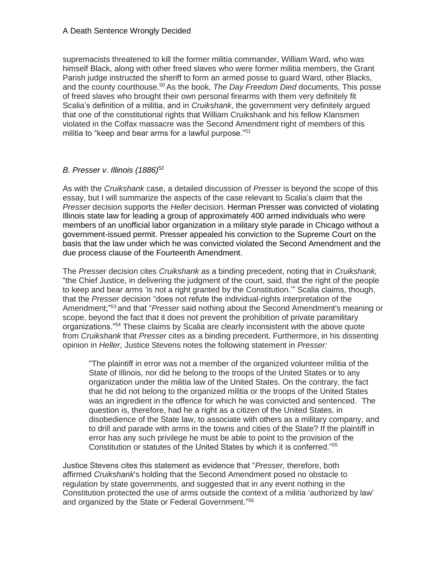supremacists threatened to kill the former militia commander, William Ward, who was himself Black, along with other freed slaves who were former militia members, the Grant Parish judge instructed the sheriff to form an armed posse to guard Ward, other Blacks, and the county courthouse.<sup>50</sup> As the book, *The Day Freedom Died* documents, This posse of freed slaves who brought their own personal firearms with them very definitely fit Scalia's definition of a militia, and in *Cruikshank*, the government very definitely argued that one of the constitutional rights that William Cruikshank and his fellow Klansmen violated in the Colfax massacre was the Second Amendment right of members of this militia to "keep and bear arms for a lawful purpose."<sup>51</sup>

## *B. Presser v. Illinois (1886)*<sup>52</sup>

As with the *Cruikshank* case, a detailed discussion of *Presser* is beyond the scope of this essay, but I will summarize the aspects of the case relevant to Scalia's claim that the *Presser* decision supports the *Heller* decision. Herman Presser was convicted of violating Illinois state law for leading a group of approximately 400 armed individuals who were members of an unofficial labor organization in a military style parade in Chicago without a government-issued permit. Presser appealed his conviction to the Supreme Court on the basis that the law under which he was convicted violated the Second Amendment and the due process clause of the Fourteenth Amendment.

The *Presser* decision cites *Cruikshank* as a binding precedent, noting that in *Cruikshank,*  "the Chief Justice, in delivering the judgment of the court, said, that the right of the people to keep and bear arms 'is not a right granted by the Constitution.'" Scalia claims, though, that the *Presser* decision "does not refute the individual-rights interpretation of the Amendment;" <sup>53</sup> and that "*Presser* said nothing about the Second Amendment's meaning or scope, beyond the fact that it does not prevent the prohibition of private paramilitary organizations."<sup>54</sup> These claims by Scalia are clearly inconsistent with the above quote from *Cruikshank* that *Presser* cites as a binding precedent. Furthermore, in his dissenting opinion in *Heller,* Justice Stevens notes the following statement in *Presser:*

"The plaintiff in error was not a member of the organized volunteer militia of the State of Illinois, nor did he belong to the troops of the United States or to any organization under the militia law of the United States. On the contrary, the fact that he did not belong to the organized militia or the troops of the United States was an ingredient in the offence for which he was convicted and sentenced. The question is, therefore, had he a right as a citizen of the United States, in disobedience of the State law, to associate with others as a military company, and to drill and parade with arms in the towns and cities of the State? If the plaintiff in error has any such privilege he must be able to point to the provision of the Constitution or statutes of the United States by which it is conferred."<sup>55</sup>

Justice Stevens cites this statement as evidence that "*Presser,* therefore, both affirmed *Cruikshank*'s holding that the Second Amendment posed no obstacle to regulation by state governments, and suggested that in any event nothing in the Constitution protected the use of arms outside the context of a militia 'authorized by law' and organized by the State or Federal Government." 56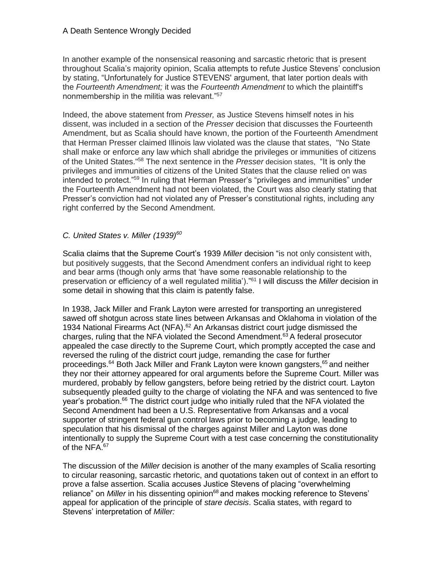In another example of the nonsensical reasoning and sarcastic rhetoric that is present throughout Scalia's majority opinion, Scalia attempts to refute Justice Stevens' conclusion by stating, "Unfortunately for Justice STEVENS' argument, that later portion deals with the *Fourteenth Amendment;* it was the *Fourteenth Amendment* to which the plaintiff's nonmembership in the militia was relevant."<sup>57</sup>

Indeed, the above statement from *Presser,* as Justice Stevens himself notes in his dissent, was included in a section of the *Presser* decision that discusses the Fourteenth Amendment, but as Scalia should have known, the portion of the Fourteenth Amendment that Herman Presser claimed Illinois law violated was the clause that states, "No State shall make or enforce any law which shall abridge the privileges or immunities of citizens of the United States."<sup>58</sup> The next sentence in the *Presser* decision states, "It is only the privileges and immunities of citizens of the United States that the clause relied on was intended to protect."<sup>59</sup> In ruling that Herman Presser's "privileges and immunities" under the Fourteenth Amendment had not been violated, the Court was also clearly stating that Presser's conviction had not violated any of Presser's constitutional rights, including any right conferred by the Second Amendment.

## *C. United States v. Miller (1939)<sup>60</sup>*

Scalia claims that the Supreme Court's 1939 *Miller* decision "is not only consistent with, but positively suggests, that the Second Amendment confers an individual right to keep and bear arms (though only arms that 'have some reasonable relationship to the preservation or efficiency of a well regulated militia')." <sup>61</sup> I will discuss the *Miller* decision in some detail in showing that this claim is patently false.

In 1938, Jack Miller and Frank Layton were arrested for transporting an unregistered sawed off shotgun across state lines between Arkansas and Oklahoma in violation of the 1934 National Firearms Act (NFA).<sup>62</sup> An Arkansas district court judge dismissed the charges, ruling that the NFA violated the Second Amendment.<sup>63</sup> A federal prosecutor appealed the case directly to the Supreme Court, which promptly accepted the case and reversed the ruling of the district court judge, remanding the case for further proceedings.<sup>64</sup> Both Jack Miller and Frank Layton were known gangsters,<sup>65</sup> and neither they nor their attorney appeared for oral arguments before the Supreme Court. Miller was murdered, probably by fellow gangsters, before being retried by the district court. Layton subsequently pleaded guilty to the charge of violating the NFA and was sentenced to five year's probation.<sup>66</sup> The district court judge who initially ruled that the NFA violated the Second Amendment had been a U.S. Representative from Arkansas and a vocal supporter of stringent federal gun control laws prior to becoming a judge, leading to speculation that his dismissal of the charges against Miller and Layton was done intentionally to supply the Supreme Court with a test case concerning the constitutionality of the NFA.<sup>67</sup>

The discussion of the *Miller* decision is another of the many examples of Scalia resorting to circular reasoning, sarcastic rhetoric, and quotations taken out of context in an effort to prove a false assertion. Scalia accuses Justice Stevens of placing "overwhelming reliance" on *Miller* in his dissenting opinion<sup>68</sup> and makes mocking reference to Stevens' appeal for application of the principle of *stare decisis*. Scalia states, with regard to Stevens' interpretation of *Miller:*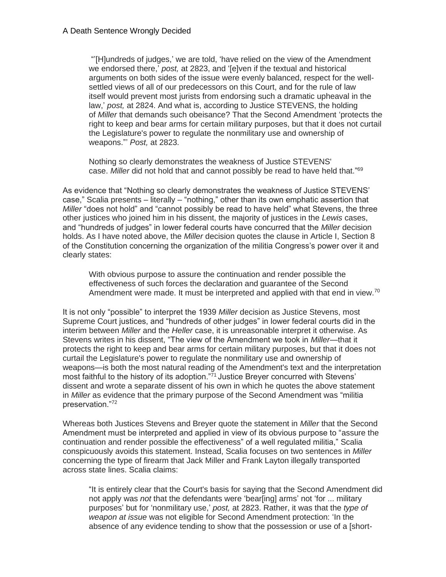"'[H]undreds of judges,' we are told, 'have relied on the view of the Amendment we endorsed there,' *post,* at 2823, and '[e]ven if the textual and historical arguments on both sides of the issue were evenly balanced, respect for the wellsettled views of all of our predecessors on this Court, and for the rule of law itself would prevent most jurists from endorsing such a dramatic upheaval in the law,' *post,* at 2824. And what is, according to Justice STEVENS, the holding of *Miller* that demands such obeisance? That the Second Amendment 'protects the right to keep and bear arms for certain military purposes, but that it does not curtail the Legislature's power to regulate the nonmilitary use and ownership of weapons."' *Post,* at 2823.

Nothing so clearly demonstrates the weakness of Justice STEVENS' case. *Miller* did not hold that and cannot possibly be read to have held that." 69

As evidence that "Nothing so clearly demonstrates the weakness of Justice STEVENS' case," Scalia presents – literally – "nothing," other than its own emphatic assertion that *Miller* "does not hold" and "cannot possibly be read to have held" what Stevens, the three other justices who joined him in his dissent, the majority of justices in the *Lewis* cases, and "hundreds of judges" in lower federal courts have concurred that the *Miller* decision holds. As I have noted above, the *Miller* decision quotes the clause in Article I, Section 8 of the Constitution concerning the organization of the militia Congress's power over it and clearly states:

With obvious purpose to assure the continuation and render possible the effectiveness of such forces the declaration and guarantee of the Second Amendment were made. It must be interpreted and applied with that end in view.<sup>70</sup>

It is not only "possible" to interpret the 1939 *Miller* decision as Justice Stevens, most Supreme Court justices, and "hundreds of other judges" in lower federal courts did in the interim between *Miller* and the *Heller* case, it is unreasonable interpret it otherwise. As Stevens writes in his dissent, "The view of the Amendment we took in *Miller*—that it protects the right to keep and bear arms for certain military purposes, but that it does not curtail the Legislature's power to regulate the nonmilitary use and ownership of weapons—is both the most natural reading of the Amendment's text and the interpretation most faithful to the history of its adoption."<sup>71</sup> Justice Breyer concurred with Stevens' dissent and wrote a separate dissent of his own in which he quotes the above statement in *Miller* as evidence that the primary purpose of the Second Amendment was "militia preservation."<sup>72</sup>

Whereas both Justices Stevens and Breyer quote the statement in *Miller* that the Second Amendment must be interpreted and applied in view of its obvious purpose to "assure the continuation and render possible the effectiveness" of a well regulated militia," Scalia conspicuously avoids this statement. Instead, Scalia focuses on two sentences in *Miller* concerning the type of firearm that Jack Miller and Frank Layton illegally transported across state lines. Scalia claims:

"It is entirely clear that the Court's basis for saying that the Second Amendment did not apply was *not* that the defendants were 'bear[ing] arms' not 'for ... military purposes' but for 'nonmilitary use,' *post,* at 2823. Rather, it was that the *type of weapon at issue* was not eligible for Second Amendment protection: 'In the absence of any evidence tending to show that the possession or use of a [short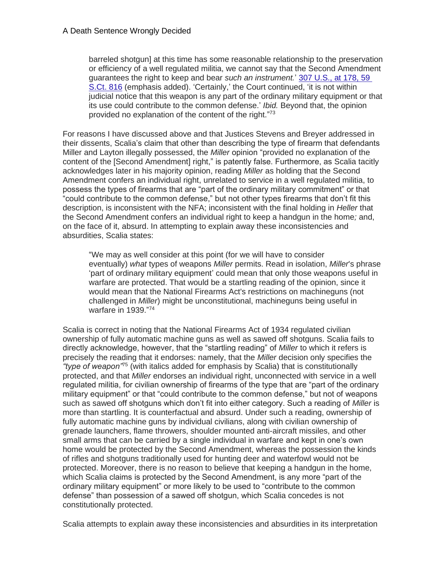barreled shotgun] at this time has some reasonable relationship to the preservation or efficiency of a well regulated militia, we cannot say that the Second Amendment guarantees the right to keep and bear *such an instrument.*' [307 U.S., at 178, 59](https://scholar.google.com/scholar_case?case=17128640835628801970&q=v.+heller&hl=en&as_sdt=2006)  [S.Ct. 816](https://scholar.google.com/scholar_case?case=17128640835628801970&q=v.+heller&hl=en&as_sdt=2006) (emphasis added). 'Certainly,' the Court continued, 'it is not within judicial notice that this weapon is any part of the ordinary military equipment or that its use could contribute to the common defense.' *Ibid.* Beyond that, the opinion provided no explanation of the content of the right."73

For reasons I have discussed above and that Justices Stevens and Breyer addressed in their dissents, Scalia's claim that other than describing the type of firearm that defendants Miller and Layton illegally possessed, the *Miller* opinion "provided no explanation of the content of the [Second Amendment] right," is patently false. Furthermore, as Scalia tacitly acknowledges later in his majority opinion, reading *Miller* as holding that the Second Amendment confers an individual right, unrelated to service in a well regulated militia, to possess the types of firearms that are "part of the ordinary military commitment" or that "could contribute to the common defense," but not other types firearms that don't fit this description, is inconsistent with the NFA; inconsistent with the final holding in *Heller* that the Second Amendment confers an individual right to keep a handgun in the home*;* and, on the face of it, absurd. In attempting to explain away these inconsistencies and absurdities, Scalia states:

"We may as well consider at this point (for we will have to consider eventually) *what* types of weapons *Miller* permits. Read in isolation, *Miller*'s phrase 'part of ordinary military equipment' could mean that only those weapons useful in warfare are protected. That would be a startling reading of the opinion, since it would mean that the National Firearms Act's restrictions on machineguns (not challenged in *Miller*) might be unconstitutional, machineguns being useful in warfare in 1939." 74

Scalia is correct in noting that the National Firearms Act of 1934 regulated civilian ownership of fully automatic machine guns as well as sawed off shotguns. Scalia fails to directly acknowledge, however, that the "startling reading" of *Miller* to which it refers is precisely the reading that it endorses: namely, that the *Miller* decision only specifies the *"type of weapon"*<sup>75</sup> (with italics added for emphasis by Scalia) that is constitutionally protected, and that *Miller* endorses an individual right, unconnected with service in a well regulated militia, for civilian ownership of firearms of the type that are "part of the ordinary military equipment" or that "could contribute to the common defense," but not of weapons such as sawed off shotguns which don't fit into either category. Such a reading of *Miller* is more than startling. It is counterfactual and absurd. Under such a reading, ownership of fully automatic machine guns by individual civilians, along with civilian ownership of grenade launchers, flame throwers, shoulder mounted anti-aircraft missiles, and other small arms that can be carried by a single individual in warfare and kept in one's own home would be protected by the Second Amendment, whereas the possession the kinds of rifles and shotguns traditionally used for hunting deer and waterfowl would not be protected. Moreover, there is no reason to believe that keeping a handgun in the home, which Scalia claims is protected by the Second Amendment, is any more "part of the ordinary military equipment" or more likely to be used to "contribute to the common defense" than possession of a sawed off shotgun, which Scalia concedes is not constitutionally protected.

Scalia attempts to explain away these inconsistencies and absurdities in its interpretation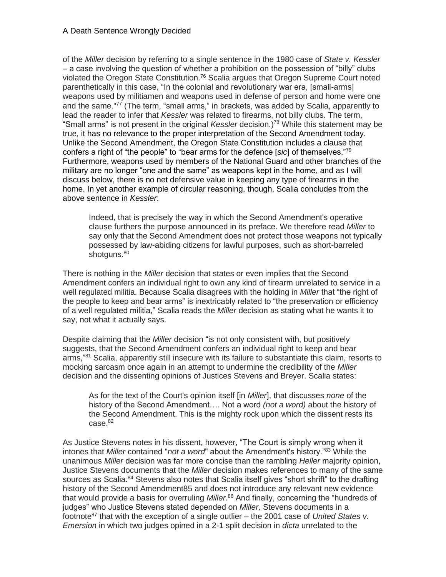of the *Miller* decision by referring to a single sentence in the 1980 case of *State v. Kessler*  – a case involving the question of whether a prohibition on the possession of "billy" clubs violated the Oregon State Constitution.<sup>76</sup> Scalia argues that Oregon Supreme Court noted parenthetically in this case, "In the colonial and revolutionary war era, [small-arms] weapons used by militiamen and weapons used in defense of person and home were one and the same."<sup>77</sup> (The term, "small arms," in brackets, was added by Scalia, apparently to lead the reader to infer that *Kessler* was related to firearms, not billy clubs. The term, "Small arms" is not present in the original *Kessler* decision.)<sup>78</sup> While this statement may be true, it has no relevance to the proper interpretation of the Second Amendment today. Unlike the Second Amendment, the Oregon State Constitution includes a clause that confers a right of "the people" to "bear arms for the defence [*sic*] of themselves."<sup>79</sup> Furthermore, weapons used by members of the National Guard and other branches of the military are no longer "one and the same" as weapons kept in the home, and as I will discuss below, there is no net defensive value in keeping any type of firearms in the home. In yet another example of circular reasoning, though, Scalia concludes from the above sentence in *Kessler*:

Indeed, that is precisely the way in which the Second Amendment's operative clause furthers the purpose announced in its preface. We therefore read *Miller* to say only that the Second Amendment does not protect those weapons not typically possessed by law-abiding citizens for lawful purposes, such as short-barreled shotguns.<sup>80</sup>

There is nothing in the *Miller* decision that states or even implies that the Second Amendment confers an individual right to own any kind of firearm unrelated to service in a well regulated militia. Because Scalia disagrees with the holding in *Miller* that "the right of the people to keep and bear arms" is inextricably related to "the preservation or efficiency of a well regulated militia," Scalia reads the *Miller* decision as stating what he wants it to say, not what it actually says.

Despite claiming that the *Miller* decision "is not only consistent with, but positively suggests, that the Second Amendment confers an individual right to keep and bear arms,"<sup>81</sup> Scalia, apparently still insecure with its failure to substantiate this claim, resorts to mocking sarcasm once again in an attempt to undermine the credibility of the *Miller*  decision and the dissenting opinions of Justices Stevens and Breyer. Scalia states:

As for the text of the Court's opinion itself [in *Miller*], that discusses *none* of the history of the Second Amendment…. Not a word *(not a word)* about the history of the Second Amendment. This is the mighty rock upon which the dissent rests its  $case.<sup>82</sup>$ 

As Justice Stevens notes in his dissent, however, "The Court is simply wrong when it intones that *Miller* contained "*not a word*" about the Amendment's history."<sup>83</sup> While the unanimous *Miller* decision was far more concise than the rambling *Heller* majority opinion, Justice Stevens documents that the *Miller* decision makes references to many of the same sources as Scalia.<sup>84</sup> Stevens also notes that Scalia itself gives "short shrift" to the drafting history of the Second Amendment85 and does not introduce any relevant new evidence that would provide a basis for overruling *Miller.*<sup>86</sup> And finally, concerning the "hundreds of judges" who Justice Stevens stated depended on *Miller,* Stevens documents in a footnote<sup>87</sup> that with the exception of a single outlier – the 2001 case of *United States v. Emersion* in which two judges opined in a 2-1 split decision in *dicta* unrelated to the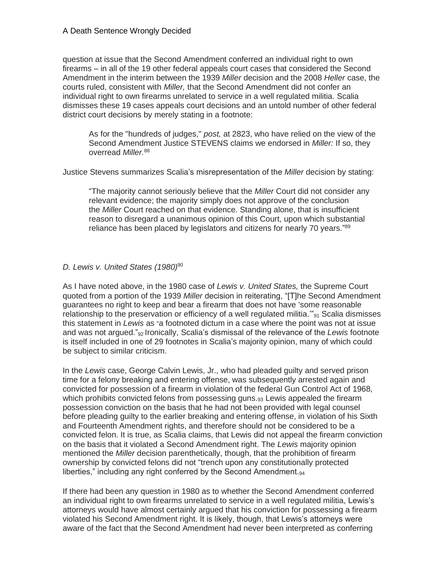question at issue that the Second Amendment conferred an individual right to own firearms – in all of the 19 other federal appeals court cases that considered the Second Amendment in the interim between the 1939 *Miller* decision and the 2008 *Heller* case, the courts ruled, consistent with *Miller,* that the Second Amendment did not confer an individual right to own firearms unrelated to service in a well regulated militia. Scalia dismisses these 19 cases appeals court decisions and an untold number of other federal district court decisions by merely stating in a footnote:

As for the "hundreds of judges," *post,* at 2823, who have relied on the view of the Second Amendment Justice STEVENS claims we endorsed in *Miller:* If so, they overread *Miller.*<sup>88</sup>

Justice Stevens summarizes Scalia's misrepresentation of the *Miller* decision by stating:

"The majority cannot seriously believe that the *Miller* Court did not consider any relevant evidence; the majority simply does not approve of the conclusion the *Miller* Court reached on that evidence. Standing alone, that is insufficient reason to disregard a unanimous opinion of this Court, upon which substantial reliance has been placed by legislators and citizens for nearly 70 years."<sup>89</sup>

## *D. Lewis v. United States (1980)*<sup>90</sup>

As I have noted above, in the 1980 case of *Lewis v. United States,* the Supreme Court quoted from a portion of the 1939 *Miller* decision in reiterating, "[T]he Second Amendment guarantees no right to keep and bear a firearm that does not have 'some reasonable relationship to the preservation or efficiency of a well regulated militia. $v_{91}$  Scalia dismisses this statement in *Lewis* as "a footnoted dictum in a case where the point was not at issue and was not argued."<sup>92</sup> Ironically, Scalia's dismissal of the relevance of the *Lewis* footnote is itself included in one of 29 footnotes in Scalia's majority opinion, many of which could be subject to similar criticism.

In the *Lewis* case, George Calvin Lewis, Jr., who had pleaded guilty and served prison time for a felony breaking and entering offense, was subsequently arrested again and convicted for possession of a firearm in violation of the federal Gun Control Act of 1968, which prohibits convicted felons from possessing guns.<sub>93</sub> Lewis appealed the firearm possession conviction on the basis that he had not been provided with legal counsel before pleading guilty to the earlier breaking and entering offense, in violation of his Sixth and Fourteenth Amendment rights, and therefore should not be considered to be a convicted felon. It is true, as Scalia claims, that Lewis did not appeal the firearm conviction on the basis that it violated a Second Amendment right. The *Lewis* majority opinion mentioned the *Miller* decision parenthetically, though, that the prohibition of firearm ownership by convicted felons did not "trench upon any constitutionally protected liberties," including any right conferred by the Second Amendment.<sub>94</sub>

If there had been any question in 1980 as to whether the Second Amendment conferred an individual right to own firearms unrelated to service in a well regulated militia, Lewis's attorneys would have almost certainly argued that his conviction for possessing a firearm violated his Second Amendment right. It is likely, though, that Lewis's attorneys were aware of the fact that the Second Amendment had never been interpreted as conferring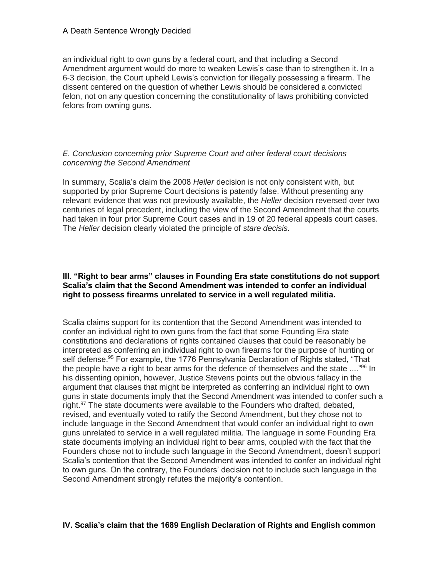an individual right to own guns by a federal court, and that including a Second Amendment argument would do more to weaken Lewis's case than to strengthen it. In a 6-3 decision, the Court upheld Lewis's conviction for illegally possessing a firearm. The dissent centered on the question of whether Lewis should be considered a convicted felon, not on any question concerning the constitutionality of laws prohibiting convicted felons from owning guns.

### *E. Conclusion concerning prior Supreme Court and other federal court decisions concerning the Second Amendment*

In summary, Scalia's claim the 2008 *Heller* decision is not only consistent with, but supported by prior Supreme Court decisions is patently false. Without presenting any relevant evidence that was not previously available, the *Heller* decision reversed over two centuries of legal precedent, including the view of the Second Amendment that the courts had taken in four prior Supreme Court cases and in 19 of 20 federal appeals court cases. The *Heller* decision clearly violated the principle of *stare decisis.*

#### **III. "Right to bear arms" clauses in Founding Era state constitutions do not support Scalia's claim that the Second Amendment was intended to confer an individual right to possess firearms unrelated to service in a well regulated militia.**

Scalia claims support for its contention that the Second Amendment was intended to confer an individual right to own guns from the fact that some Founding Era state constitutions and declarations of rights contained clauses that could be reasonably be interpreted as conferring an individual right to own firearms for the purpose of hunting or self defense.<sup>95</sup> For example, the 1776 Pennsylvania Declaration of Rights stated, "That the people have a right to bear arms for the defence of themselves and the state ...."<sup>96</sup> In his dissenting opinion, however, Justice Stevens points out the obvious fallacy in the argument that clauses that might be interpreted as conferring an individual right to own guns in state documents imply that the Second Amendment was intended to confer such a right.<sup>97</sup> The state documents were available to the Founders who drafted, debated, revised, and eventually voted to ratify the Second Amendment, but they chose not to include language in the Second Amendment that would confer an individual right to own guns unrelated to service in a well regulated militia. The language in some Founding Era state documents implying an individual right to bear arms, coupled with the fact that the Founders chose not to include such language in the Second Amendment, doesn't support Scalia's contention that the Second Amendment was intended to confer an individual right to own guns. On the contrary, the Founders' decision not to include such language in the Second Amendment strongly refutes the majority's contention.

## **IV. Scalia's claim that the 1689 English Declaration of Rights and English common**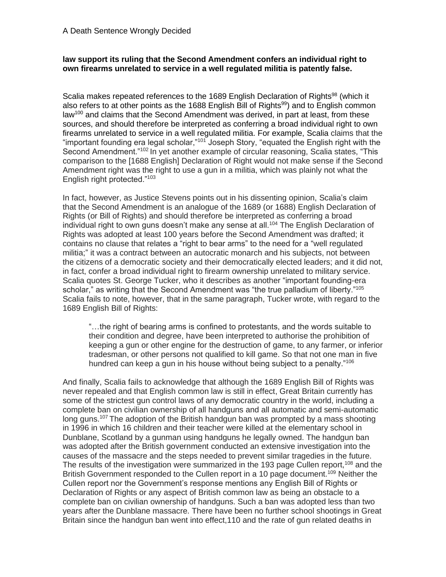### **law support its ruling that the Second Amendment confers an individual right to own firearms unrelated to service in a well regulated militia is patently false.**

Scalia makes repeated references to the 1689 English Declaration of Rights<sup>98</sup> (which it also refers to at other points as the 1688 English Bill of Rights<sup>99</sup>) and to English common law<sup>100</sup> and claims that the Second Amendment was derived, in part at least, from these sources, and should therefore be interpreted as conferring a broad individual right to own firearms unrelated to service in a well regulated militia. For example, Scalia claims that the "important founding era legal scholar,"<sup>101</sup> Joseph Story, "equated the English right with the Second Amendment."<sup>102</sup> In yet another example of circular reasoning, Scalia states, "This comparison to the [1688 English] Declaration of Right would not make sense if the Second Amendment right was the right to use a gun in a militia, which was plainly not what the English right protected."<sup>103</sup>

In fact, however, as Justice Stevens points out in his dissenting opinion, Scalia's claim that the Second Amendment is an analogue of the 1689 (or 1688) English Declaration of Rights (or Bill of Rights) and should therefore be interpreted as conferring a broad individual right to own guns doesn't make any sense at all.<sup>104</sup> The English Declaration of Rights was adopted at least 100 years before the Second Amendment was drafted; it contains no clause that relates a "right to bear arms" to the need for a "well regulated militia;" it was a contract between an autocratic monarch and his subjects, not between the citizens of a democratic society and their democratically elected leaders; and it did not, in fact, confer a broad individual right to firearm ownership unrelated to military service. Scalia quotes St. George Tucker, who it describes as another "important founding-era scholar," as writing that the Second Amendment was "the true palladium of liberty."<sup>105</sup> Scalia fails to note, however, that in the same paragraph, Tucker wrote, with regard to the 1689 English Bill of Rights:

"…the right of bearing arms is confined to protestants, and the words suitable to their condition and degree, have been interpreted to authorise the prohibition of keeping a gun or other engine for the destruction of game, to any farmer, or inferior tradesman, or other persons not qualified to kill game. So that not one man in five hundred can keep a gun in his house without being subject to a penalty."<sup>106</sup>

And finally, Scalia fails to acknowledge that although the 1689 English Bill of Rights was never repealed and that English common law is still in effect, Great Britain currently has some of the strictest gun control laws of any democratic country in the world, including a complete ban on civilian ownership of all handguns and all automatic and semi-automatic long guns.<sup>107</sup> The adoption of the British handgun ban was prompted by a mass shooting in 1996 in which 16 children and their teacher were killed at the elementary school in Dunblane, Scotland by a gunman using handguns he legally owned. The handgun ban was adopted after the British government conducted an extensive investigation into the causes of the massacre and the steps needed to prevent similar tragedies in the future. The results of the investigation were summarized in the 193 page Cullen report,<sup>108</sup> and the British Government responded to the Cullen report in a 10 page document.<sup>109</sup> Neither the Cullen report nor the Government's response mentions any English Bill of Rights or Declaration of Rights or any aspect of British common law as being an obstacle to a complete ban on civilian ownership of handguns. Such a ban was adopted less than two years after the Dunblane massacre. There have been no further school shootings in Great Britain since the handgun ban went into effect,110 and the rate of gun related deaths in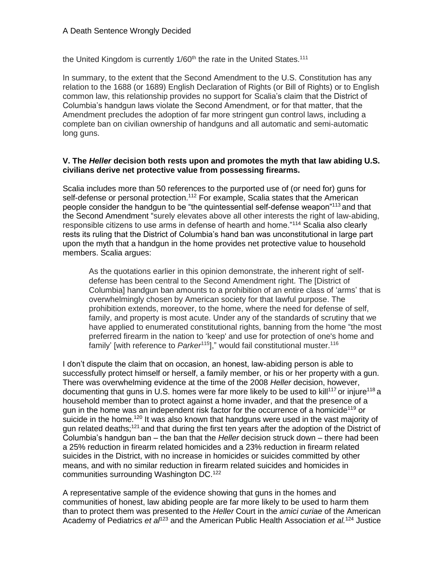the United Kingdom is currently  $1/60<sup>th</sup>$  the rate in the United States.<sup>111</sup>

In summary, to the extent that the Second Amendment to the U.S. Constitution has any relation to the 1688 (or 1689) English Declaration of Rights (or Bill of Rights) or to English common law, this relationship provides no support for Scalia's claim that the District of Columbia's handgun laws violate the Second Amendment, or for that matter, that the Amendment precludes the adoption of far more stringent gun control laws, including a complete ban on civilian ownership of handguns and all automatic and semi-automatic long guns.

### **V. The** *Heller* **decision both rests upon and promotes the myth that law abiding U.S. civilians derive net protective value from possessing firearms.**

Scalia includes more than 50 references to the purported use of (or need for) guns for self-defense or personal protection.<sup>112</sup> For example, Scalia states that the American people consider the handgun to be "the quintessential self-defense weapon"<sup>113</sup> and that the Second Amendment "surely elevates above all other interests the right of law-abiding, responsible citizens to use arms in defense of hearth and home."<sup>114</sup> Scalia also clearly rests its ruling that the District of Columbia's hand ban was unconstitutional in large part upon the myth that a handgun in the home provides net protective value to household members. Scalia argues:

As the quotations earlier in this opinion demonstrate, the inherent right of selfdefense has been central to the Second Amendment right. The [District of Columbia] handgun ban amounts to a prohibition of an entire class of 'arms' that is overwhelmingly chosen by American society for that lawful purpose. The prohibition extends, moreover, to the home, where the need for defense of self, family, and property is most acute. Under any of the standards of scrutiny that we have applied to enumerated constitutional rights, banning from the home "the most preferred firearm in the nation to 'keep' and use for protection of one's home and family' [with reference to *Parker*<sup>115</sup>]," would fail constitutional muster.<sup>116</sup>

I don't dispute the claim that on occasion, an honest, law-abiding person is able to successfully protect himself or herself, a family member, or his or her property with a gun. There was overwhelming evidence at the time of the 2008 *Heller* decision, however, documenting that guns in U.S. homes were far more likely to be used to kill<sup>117</sup> or injure<sup>118</sup> a household member than to protect against a home invader, and that the presence of a gun in the home was an independent risk factor for the occurrence of a homicide<sup>119</sup> or suicide in the home.<sup>120</sup> It was also known that handguns were used in the vast majority of gun related deaths;<sup>121</sup> and that during the first ten years after the adoption of the District of Columbia's handgun ban – the ban that the *Heller* decision struck down – there had been a 25% reduction in firearm related homicides and a 23% reduction in firearm related suicides in the District, with no increase in homicides or suicides committed by other means, and with no similar reduction in firearm related suicides and homicides in communities surrounding Washington DC.<sup>122</sup>

A representative sample of the evidence showing that guns in the homes and communities of honest, law abiding people are far more likely to be used to harm them than to protect them was presented to the *Heller* Court in the *amici curiae* of the American Academy of Pediatrics *et al*<sup>123</sup> and the American Public Health Association *et al.*<sup>124</sup> Justice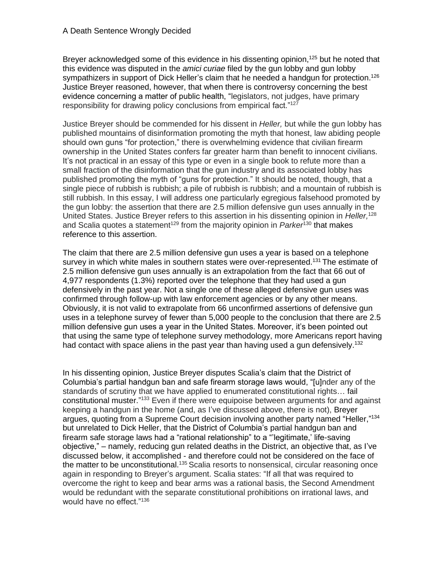Breyer acknowledged some of this evidence in his dissenting opinion,<sup>125</sup> but he noted that this evidence was disputed in the *amici curiae* filed by the gun lobby and gun lobby sympathizers in support of Dick Heller's claim that he needed a handgun for protection.<sup>126</sup> Justice Breyer reasoned, however, that when there is controversy concerning the best evidence concerning a matter of public health, "legislators, not judges, have primary responsibility for drawing policy conclusions from empirical fact."<sup>127</sup>

Justice Breyer should be commended for his dissent in *Heller,* but while the gun lobby has published mountains of disinformation promoting the myth that honest, law abiding people should own guns "for protection," there is overwhelming evidence that civilian firearm ownership in the United States confers far greater harm than benefit to innocent civilians. It's not practical in an essay of this type or even in a single book to refute more than a small fraction of the disinformation that the gun industry and its associated lobby has published promoting the myth of "guns for protection." It should be noted, though, that a single piece of rubbish is rubbish; a pile of rubbish is rubbish; and a mountain of rubbish is still rubbish. In this essay, I will address one particularly egregious falsehood promoted by the gun lobby: the assertion that there are 2.5 million defensive gun uses annually in the United States. Justice Breyer refers to this assertion in his dissenting opinion in *Heller,* 128 and Scalia quotes a statement<sup>129</sup> from the majority opinion in *Parker*<sup>130</sup> that makes reference to this assertion.

The claim that there are 2.5 million defensive gun uses a year is based on a telephone survey in which white males in southern states were over-represented.<sup>131</sup> The estimate of 2.5 million defensive gun uses annually is an extrapolation from the fact that 66 out of 4,977 respondents (1.3%) reported over the telephone that they had used a gun defensively in the past year. Not a single one of these alleged defensive gun uses was confirmed through follow-up with law enforcement agencies or by any other means. Obviously, it is not valid to extrapolate from 66 unconfirmed assertions of defensive gun uses in a telephone survey of fewer than 5,000 people to the conclusion that there are 2.5 million defensive gun uses a year in the United States. Moreover, it's been pointed out that using the same type of telephone survey methodology, more Americans report having had contact with space aliens in the past year than having used a gun defensively.<sup>132</sup>

In his dissenting opinion, Justice Breyer disputes Scalia's claim that the District of Columbia's partial handgun ban and safe firearm storage laws would, "[u]nder any of the standards of scrutiny that we have applied to enumerated constitutional rights… fail constitutional muster."<sup>133</sup> Even if there were equipoise between arguments for and against keeping a handgun in the home (and, as I've discussed above, there is not), Breyer argues, quoting from a Supreme Court decision involving another party named "Heller," 134 but unrelated to Dick Heller, that the District of Columbia's partial handgun ban and firearm safe storage laws had a "rational relationship" to a "'legitimate,' life-saving objective," – namely, reducing gun related deaths in the District, an objective that, as I've discussed below, it accomplished - and therefore could not be considered on the face of the matter to be unconstitutional.<sup>135</sup> Scalia resorts to nonsensical, circular reasoning once again in responding to Breyer's argument. Scalia states: "If all that was required to overcome the right to keep and bear arms was a rational basis, the Second Amendment would be redundant with the separate constitutional prohibitions on irrational laws, and would have no effect."136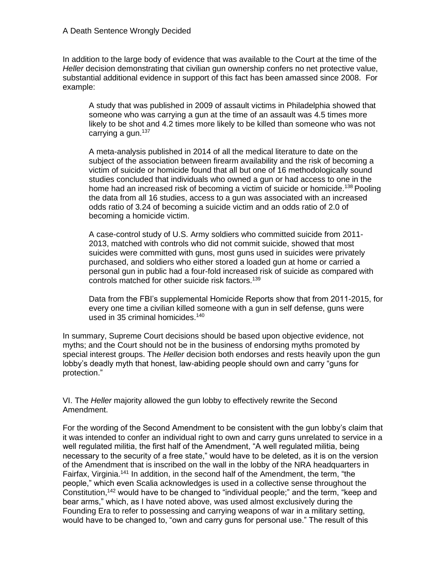In addition to the large body of evidence that was available to the Court at the time of the *Heller* decision demonstrating that civilian gun ownership confers no net protective value, substantial additional evidence in support of this fact has been amassed since 2008. For example:

A study that was published in 2009 of assault victims in Philadelphia showed that someone who was carrying a gun at the time of an assault was 4.5 times more likely to be shot and 4.2 times more likely to be killed than someone who was not carrying a gun.<sup>137</sup>

A meta-analysis published in 2014 of all the medical literature to date on the subject of the association between firearm availability and the risk of becoming a victim of suicide or homicide found that all but one of 16 methodologically sound studies concluded that individuals who owned a gun or had access to one in the home had an increased risk of becoming a victim of suicide or homicide.<sup>138</sup> Pooling the data from all 16 studies, access to a gun was associated with an increased odds ratio of 3.24 of becoming a suicide victim and an odds ratio of 2.0 of becoming a homicide victim.

A case-control study of U.S. Army soldiers who committed suicide from 2011- 2013, matched with controls who did not commit suicide, showed that most suicides were committed with guns, most guns used in suicides were privately purchased, and soldiers who either stored a loaded gun at home or carried a personal gun in public had a four-fold increased risk of suicide as compared with controls matched for other suicide risk factors.<sup>139</sup>

Data from the FBI's supplemental Homicide Reports show that from 2011-2015, for every one time a civilian killed someone with a gun in self defense, guns were used in 35 criminal homicides.<sup>140</sup>

In summary, Supreme Court decisions should be based upon objective evidence, not myths; and the Court should not be in the business of endorsing myths promoted by special interest groups. The *Heller* decision both endorses and rests heavily upon the gun lobby's deadly myth that honest, law-abiding people should own and carry "guns for protection."

VI. The *Heller* majority allowed the gun lobby to effectively rewrite the Second Amendment.

For the wording of the Second Amendment to be consistent with the gun lobby's claim that it was intended to confer an individual right to own and carry guns unrelated to service in a well regulated militia, the first half of the Amendment, "A well regulated militia, being necessary to the security of a free state," would have to be deleted, as it is on the version of the Amendment that is inscribed on the wall in the lobby of the NRA headquarters in Fairfax, Virginia.<sup>141</sup> In addition, in the second half of the Amendment, the term, "the people," which even Scalia acknowledges is used in a collective sense throughout the Constitution,<sup>142</sup> would have to be changed to "individual people;" and the term, "keep and bear arms," which, as I have noted above, was used almost exclusively during the Founding Era to refer to possessing and carrying weapons of war in a military setting, would have to be changed to, "own and carry guns for personal use." The result of this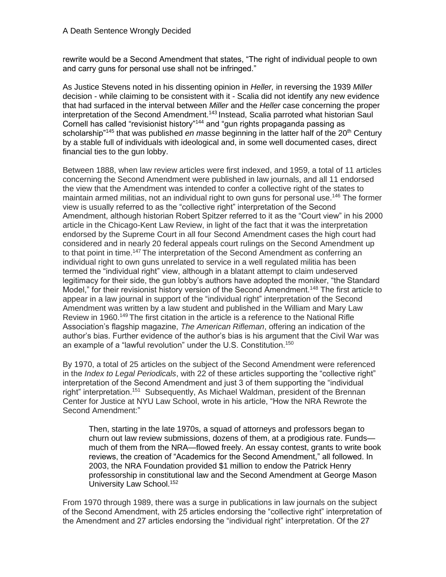rewrite would be a Second Amendment that states, "The right of individual people to own and carry guns for personal use shall not be infringed."

As Justice Stevens noted in his dissenting opinion in *Heller,* in reversing the 1939 *Miller*  decision - while claiming to be consistent with it - Scalia did not identify any new evidence that had surfaced in the interval between *Miller* and the *Heller* case concerning the proper interpretation of the Second Amendment.<sup>143</sup> Instead, Scalia parroted what historian Saul Cornell has called "revisionist history"<sup>144</sup> and "gun rights propaganda passing as scholarship<sup>"145</sup> that was published *en masse* beginning in the latter half of the 20<sup>th</sup> Century by a stable full of individuals with ideological and, in some well documented cases, direct financial ties to the gun lobby.

Between 1888, when law review articles were first indexed, and 1959, a total of 11 articles concerning the Second Amendment were published in law journals, and all 11 endorsed the view that the Amendment was intended to confer a collective right of the states to maintain armed militias, not an individual right to own guns for personal use.<sup>146</sup> The former view is usually referred to as the "collective right" interpretation of the Second Amendment, although historian Robert Spitzer referred to it as the "Court view" in his 2000 article in the Chicago-Kent Law Review, in light of the fact that it was the interpretation endorsed by the Supreme Court in all four Second Amendment cases the high court had considered and in nearly 20 federal appeals court rulings on the Second Amendment up to that point in time.<sup>147</sup> The interpretation of the Second Amendment as conferring an individual right to own guns unrelated to service in a well regulated militia has been termed the "individual right" view, although in a blatant attempt to claim undeserved legitimacy for their side, the gun lobby's authors have adopted the moniker, "the Standard Model," for their revisionist history version of the Second Amendment.<sup>148</sup> The first article to appear in a law journal in support of the "individual right" interpretation of the Second Amendment was written by a law student and published in the William and Mary Law Review in 1960.<sup>149</sup> The first citation in the article is a reference to the National Rifle Association's flagship magazine, *The American Rifleman*, offering an indication of the author's bias. Further evidence of the author's bias is his argument that the Civil War was an example of a "lawful revolution" under the U.S. Constitution.<sup>150</sup>

By 1970, a total of 25 articles on the subject of the Second Amendment were referenced in the *Index to Legal Periodicals*, with 22 of these articles supporting the "collective right" interpretation of the Second Amendment and just 3 of them supporting the "individual right" interpretation.<sup>151</sup> Subsequently, As Michael Waldman, president of the Brennan Center for Justice at NYU Law School, wrote in his article, "How the NRA Rewrote the Second Amendment:"

Then, starting in the late 1970s, a squad of attorneys and professors began to churn out law review submissions, dozens of them, at a prodigious rate. Funds much of them from the NRA—flowed freely. An essay contest, grants to write book reviews, the creation of "Academics for the Second Amendment," all followed. In 2003, the NRA Foundation provided \$1 million to endow the Patrick Henry professorship in constitutional law and the Second Amendment at George Mason University Law School.<sup>152</sup>

From 1970 through 1989, there was a surge in publications in law journals on the subject of the Second Amendment, with 25 articles endorsing the "collective right" interpretation of the Amendment and 27 articles endorsing the "individual right" interpretation. Of the 27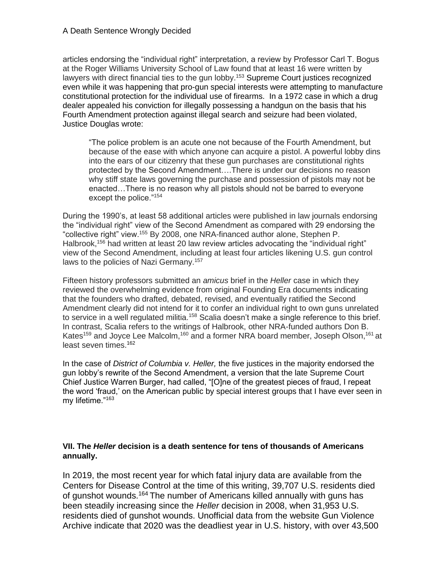articles endorsing the "individual right" interpretation, a review by Professor Carl T. Bogus at the Roger Williams University School of Law found that at least 16 were written by lawyers with direct financial ties to the gun lobby.<sup>153</sup> Supreme Court justices recognized even while it was happening that pro-gun special interests were attempting to manufacture constitutional protection for the individual use of firearms. In a 1972 case in which a drug dealer appealed his conviction for illegally possessing a handgun on the basis that his Fourth Amendment protection against illegal search and seizure had been violated, Justice Douglas wrote:

"The police problem is an acute one not because of the Fourth Amendment, but because of the ease with which anyone can acquire a pistol. A powerful lobby dins into the ears of our citizenry that these gun purchases are constitutional rights protected by the Second Amendment….There is under our decisions no reason why stiff state laws governing the purchase and possession of pistols may not be enacted…There is no reason why all pistols should not be barred to everyone except the police."<sup>154</sup>

During the 1990's, at least 58 additional articles were published in law journals endorsing the "individual right" view of the Second Amendment as compared with 29 endorsing the "collective right" view.<sup>155</sup> By 2008, one NRA-financed author alone, Stephen P. Halbrook,<sup>156</sup> had written at least 20 law review articles advocating the "individual right" view of the Second Amendment, including at least four articles likening U.S. gun control laws to the policies of Nazi Germany.<sup>157</sup>

Fifteen history professors submitted an *amicus* brief in the *Heller* case in which they reviewed the overwhelming evidence from original Founding Era documents indicating that the founders who drafted, debated, revised, and eventually ratified the Second Amendment clearly did not intend for it to confer an individual right to own guns unrelated to service in a well regulated militia.<sup>158</sup> Scalia doesn't make a single reference to this brief. In contrast, Scalia refers to the writings of Halbrook, other NRA-funded authors Don B. Kates<sup>159</sup> and Joyce Lee Malcolm,<sup>160</sup> and a former NRA board member, Joseph Olson,<sup>161</sup> at least seven times.<sup>162</sup>

In the case of *District of Columbia v. Heller,* the five justices in the majority endorsed the gun lobby's rewrite of the Second Amendment, a version that the late Supreme Court Chief Justice Warren Burger, had called, "[O]ne of the greatest pieces of fraud, I repeat the word 'fraud,' on the American public by special interest groups that I have ever seen in my lifetime."<sup>163</sup>

# **VII. The** *Heller* **decision is a death sentence for tens of thousands of Americans annually.**

In 2019, the most recent year for which fatal injury data are available from the Centers for Disease Control at the time of this writing, 39,707 U.S. residents died of gunshot wounds.<sup>164</sup> The number of Americans killed annually with guns has been steadily increasing since the *Heller* decision in 2008, when 31,953 U.S. residents died of gunshot wounds. Unofficial data from the website Gun Violence Archive indicate that 2020 was the deadliest year in U.S. history, with over 43,500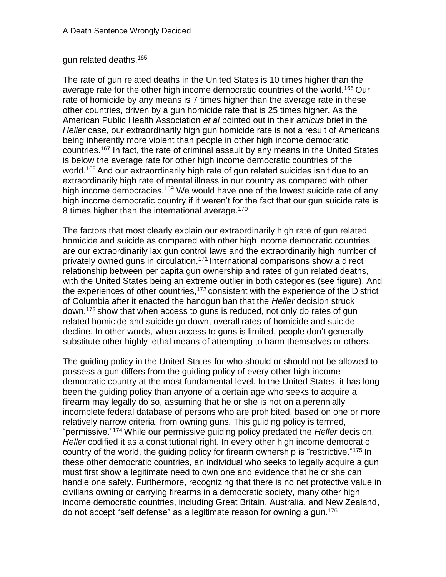# gun related deaths.<sup>165</sup>

The rate of gun related deaths in the United States is 10 times higher than the average rate for the other high income democratic countries of the world.<sup>166</sup> Our rate of homicide by any means is 7 times higher than the average rate in these other countries, driven by a gun homicide rate that is 25 times higher. As the American Public Health Association *et al* pointed out in their *amicus* brief in the *Heller* case, our extraordinarily high gun homicide rate is not a result of Americans being inherently more violent than people in other high income democratic countries.<sup>167</sup> In fact, the rate of criminal assault by any means in the United States is below the average rate for other high income democratic countries of the world.<sup>168</sup> And our extraordinarily high rate of gun related suicides isn't due to an extraordinarily high rate of mental illness in our country as compared with other high income democracies.<sup>169</sup> We would have one of the lowest suicide rate of any high income democratic country if it weren't for the fact that our gun suicide rate is 8 times higher than the international average.<sup>170</sup>

The factors that most clearly explain our extraordinarily high rate of gun related homicide and suicide as compared with other high income democratic countries are our extraordinarily lax gun control laws and the extraordinarily high number of privately owned guns in circulation.<sup>171</sup> International comparisons show a direct relationship between per capita gun ownership and rates of gun related deaths, with the United States being an extreme outlier in both categories (see figure). And the experiences of other countries, $172$  consistent with the experience of the District of Columbia after it enacted the handgun ban that the *Heller* decision struck down,<sup>173</sup> show that when access to guns is reduced, not only do rates of gun related homicide and suicide go down, overall rates of homicide and suicide decline. In other words, when access to guns is limited, people don't generally substitute other highly lethal means of attempting to harm themselves or others.

The guiding policy in the United States for who should or should not be allowed to possess a gun differs from the guiding policy of every other high income democratic country at the most fundamental level. In the United States, it has long been the guiding policy than anyone of a certain age who seeks to acquire a firearm may legally do so, assuming that he or she is not on a perennially incomplete federal database of persons who are prohibited, based on one or more relatively narrow criteria, from owning guns. This guiding policy is termed, "permissive."<sup>174</sup> While our permissive guiding policy predated the *Heller* decision, *Heller* codified it as a constitutional right. In every other high income democratic country of the world, the guiding policy for firearm ownership is "restrictive."<sup>175</sup> In these other democratic countries, an individual who seeks to legally acquire a gun must first show a legitimate need to own one and evidence that he or she can handle one safely. Furthermore, recognizing that there is no net protective value in civilians owning or carrying firearms in a democratic society, many other high income democratic countries, including Great Britain, Australia, and New Zealand, do not accept "self defense" as a legitimate reason for owning a gun.176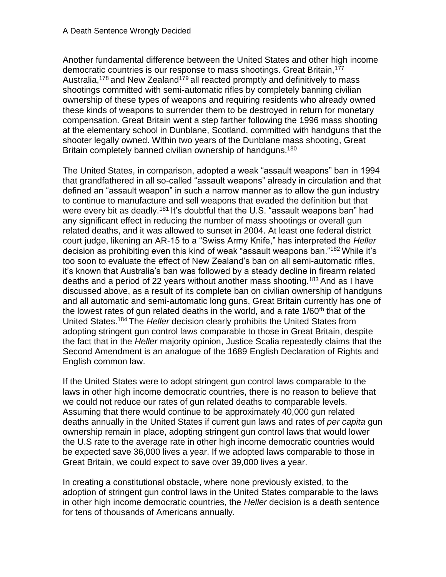Another fundamental difference between the United States and other high income democratic countries is our response to mass shootings. Great Britain, <sup>177</sup> Australia,<sup>178</sup> and New Zealand<sup>179</sup> all reacted promptly and definitively to mass shootings committed with semi-automatic rifles by completely banning civilian ownership of these types of weapons and requiring residents who already owned these kinds of weapons to surrender them to be destroyed in return for monetary compensation. Great Britain went a step farther following the 1996 mass shooting at the elementary school in Dunblane, Scotland, committed with handguns that the shooter legally owned. Within two years of the Dunblane mass shooting, Great Britain completely banned civilian ownership of handguns.<sup>180</sup>

The United States, in comparison, adopted a weak "assault weapons" ban in 1994 that grandfathered in all so-called "assault weapons" already in circulation and that defined an "assault weapon" in such a narrow manner as to allow the gun industry to continue to manufacture and sell weapons that evaded the definition but that were every bit as deadly.<sup>181</sup> It's doubtful that the U.S. "assault weapons ban" had any significant effect in reducing the number of mass shootings or overall gun related deaths, and it was allowed to sunset in 2004. At least one federal district court judge, likening an AR-15 to a "Swiss Army Knife," has interpreted the *Heller* decision as prohibiting even this kind of weak "assault weapons ban."<sup>182</sup> While it's too soon to evaluate the effect of New Zealand's ban on all semi-automatic rifles, it's known that Australia's ban was followed by a steady decline in firearm related deaths and a period of 22 years without another mass shooting.<sup>183</sup> And as I have discussed above, as a result of its complete ban on civilian ownership of handguns and all automatic and semi-automatic long guns, Great Britain currently has one of the lowest rates of gun related deaths in the world, and a rate  $1/60<sup>th</sup>$  that of the United States.<sup>184</sup> The *Heller* decision clearly prohibits the United States from adopting stringent gun control laws comparable to those in Great Britain, despite the fact that in the *Heller* majority opinion, Justice Scalia repeatedly claims that the Second Amendment is an analogue of the 1689 English Declaration of Rights and English common law.

If the United States were to adopt stringent gun control laws comparable to the laws in other high income democratic countries, there is no reason to believe that we could not reduce our rates of gun related deaths to comparable levels. Assuming that there would continue to be approximately 40,000 gun related deaths annually in the United States if current gun laws and rates of *per capita* gun ownership remain in place, adopting stringent gun control laws that would lower the U.S rate to the average rate in other high income democratic countries would be expected save 36,000 lives a year. If we adopted laws comparable to those in Great Britain, we could expect to save over 39,000 lives a year.

In creating a constitutional obstacle, where none previously existed, to the adoption of stringent gun control laws in the United States comparable to the laws in other high income democratic countries, the *Heller* decision is a death sentence for tens of thousands of Americans annually.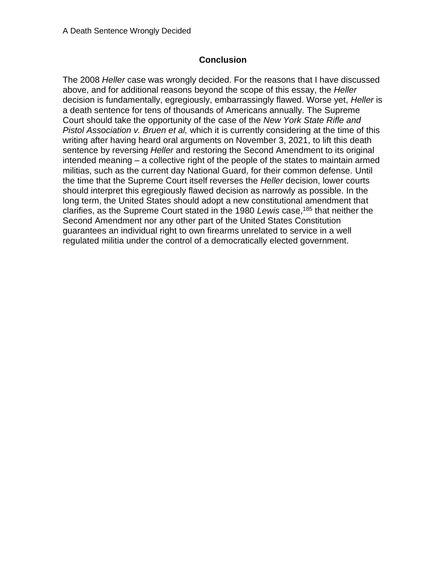# **Conclusion**

The 2008 *Heller* case was wrongly decided. For the reasons that I have discussed above, and for additional reasons beyond the scope of this essay, the *Heller* decision is fundamentally, egregiously, embarrassingly flawed. Worse yet, *Heller* is a death sentence for tens of thousands of Americans annually. The Supreme Court should take the opportunity of the case of the *New York State Rifle and Pistol Association v. Bruen et al,* which it is currently considering at the time of this writing after having heard oral arguments on November 3, 2021, to lift this death sentence by reversing *Heller* and restoring the Second Amendment to its original intended meaning – a collective right of the people of the states to maintain armed militias, such as the current day National Guard, for their common defense. Until the time that the Supreme Court itself reverses the *Heller* decision, lower courts should interpret this egregiously flawed decision as narrowly as possible. In the long term, the United States should adopt a new constitutional amendment that clarifies, as the Supreme Court stated in the 1980 *Lewis* case, <sup>185</sup> that neither the Second Amendment nor any other part of the United States Constitution guarantees an individual right to own firearms unrelated to service in a well regulated militia under the control of a democratically elected government.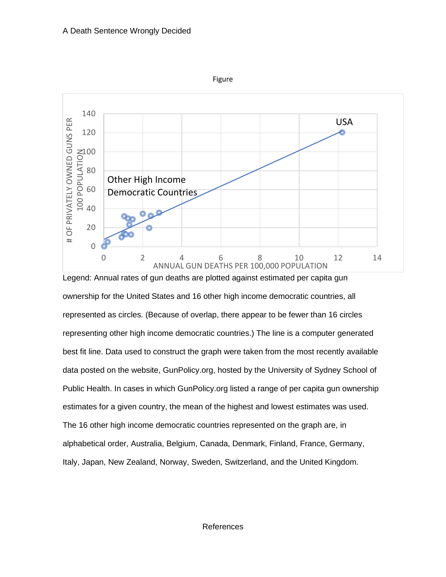

ownership for the United States and 16 other high income democratic countries, all represented as circles. (Because of overlap, there appear to be fewer than 16 circles representing other high income democratic countries.) The line is a computer generated best fit line. Data used to construct the graph were taken from the most recently available data posted on the website, GunPolicy.org, hosted by the University of Sydney School of Public Health. In cases in which GunPolicy.org listed a range of per capita gun ownership estimates for a given country, the mean of the highest and lowest estimates was used. The 16 other high income democratic countries represented on the graph are, in alphabetical order, Australia, Belgium, Canada, Denmark, Finland, France, Germany, Italy, Japan, New Zealand, Norway, Sweden, Switzerland, and the United Kingdom.

#### References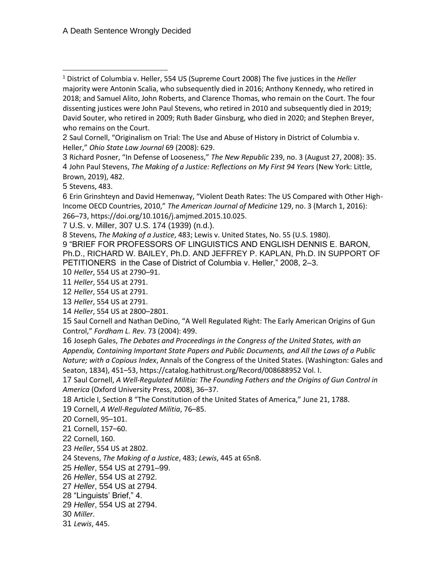U.S. v. Miller, 307 U.S. 174 (1939) (n.d.).

Stevens, *The Making of a Justice*, 483; Lewis v. United States, No. 55 (U.S. 1980).

 "BRIEF FOR PROFESSORS OF LINGUISTICS AND ENGLISH DENNIS E. BARON, Ph.D., RICHARD W. BAILEY, Ph.D. AND JEFFREY P. KAPLAN, Ph.D. IN SUPPORT OF PETITIONERS in the Case of District of Columbia v. Heller," 2008, 2–3.

*Heller*, 554 US at 2790–91.

*Heller*, 554 US at 2791.

*Heller*, 554 US at 2791.

*Heller*, 554 US at 2791.

*Heller*, 554 US at 2800–2801.

 Saul Cornell and Nathan DeDino, "A Well Regulated Right: The Early American Origins of Gun Control," *Fordham L. Rev.* 73 (2004): 499.

 Joseph Gales, *The Debates and Proceedings in the Congress of the United States, with an Appendix, Containing Important State Papers and Public Documents, and All the Laws of a Public Nature; with a Copious Index*, Annals of the Congress of the United States. (Washington: Gales and Seaton, 1834), 451–53, https://catalog.hathitrust.org/Record/008688952 Vol. I.

 Saul Cornell, *A Well-Regulated Militia: The Founding Fathers and the Origins of Gun Control in America* (Oxford University Press, 2008), 36–37.

Article I, Section 8 "The Constitution of the United States of America," June 21, 1788.

Cornell, *A Well-Regulated Militia*, 76–85.

Cornell, 95–101.

Cornell, 157–60.

Cornell, 160.

*Heller*, 554 US at 2802.

Stevens, *The Making of a Justice*, 483; *Lewis*, 445 at 65n8.

*Heller*, 554 US at 2791–99.

*Heller*, 554 US at 2792.

*Heller*, 554 US at 2794.

"Linguists' Brief," 4.

*Heller*, 554 US at 2794.

*Miller*.

*Lewis*, 445.

 District of Columbia v. Heller, 554 US (Supreme Court 2008) The five justices in the *Heller*  majority were Antonin Scalia, who subsequently died in 2016; Anthony Kennedy, who retired in 2018; and Samuel Alito, John Roberts, and Clarence Thomas, who remain on the Court. The four dissenting justices were John Paul Stevens, who retired in 2010 and subsequently died in 2019; David Souter, who retired in 2009; Ruth Bader Ginsburg, who died in 2020; and Stephen Breyer, who remains on the Court.

 Saul Cornell, "Originalism on Trial: The Use and Abuse of History in District of Columbia v. Heller," *Ohio State Law Journal* 69 (2008): 629.

 Richard Posner, "In Defense of Looseness," *The New Republic* 239, no. 3 (August 27, 2008): 35. John Paul Stevens, *The Making of a Justice: Reflections on My First 94 Years* (New York: Little, Brown, 2019), 482.

Stevens, 483.

 Erin Grinshteyn and David Hemenway, "Violent Death Rates: The US Compared with Other High-Income OECD Countries, 2010," *The American Journal of Medicine* 129, no. 3 (March 1, 2016): –73, https://doi.org/10.1016/j.amjmed.2015.10.025.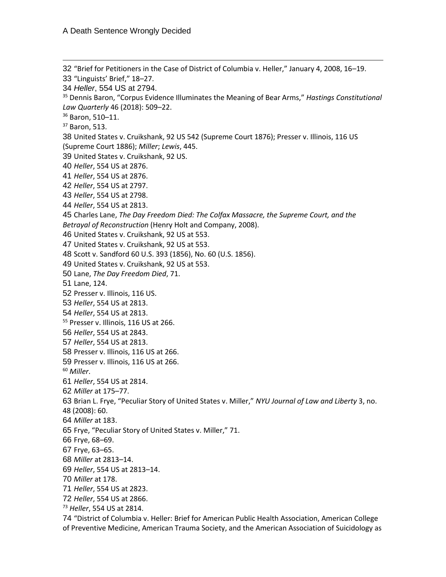"Brief for Petitioners in the Case of District of Columbia v. Heller," January 4, 2008, 16–19. "Linguists' Brief," 18–27. *Heller*, 554 US at 2794. Dennis Baron, "Corpus Evidence Illuminates the Meaning of Bear Arms," *Hastings Constitutional Law Quarterly* 46 (2018): 509–22. Baron, 510–11. Baron, 513. United States v. Cruikshank, 92 US 542 (Supreme Court 1876); Presser v. Illinois, 116 US (Supreme Court 1886); *Miller*; *Lewis*, 445. United States v. Cruikshank, 92 US. *Heller*, 554 US at 2876. *Heller*, 554 US at 2876. *Heller*, 554 US at 2797. *Heller*, 554 US at 2798. *Heller*, 554 US at 2813. Charles Lane, *The Day Freedom Died: The Colfax Massacre, the Supreme Court, and the Betrayal of Reconstruction* (Henry Holt and Company, 2008). United States v. Cruikshank, 92 US at 553. United States v. Cruikshank, 92 US at 553. Scott v. Sandford 60 U.S. 393 (1856), No. 60 (U.S. 1856). United States v. Cruikshank, 92 US at 553. Lane, *The Day Freedom Died*, 71. Lane, 124. Presser v. Illinois, 116 US. *Heller*, 554 US at 2813. *Heller*, 554 US at 2813. <sup>55</sup> Presser v. Illinois, 116 US at 266. *Heller*, 554 US at 2843. *Heller*, 554 US at 2813. Presser v. Illinois, 116 US at 266. Presser v. Illinois, 116 US at 266. *Miller*. *Heller*, 554 US at 2814. *Miller* at 175–77. Brian L. Frye, "Peculiar Story of United States v. Miller," *NYU Journal of Law and Liberty* 3, no. 48 (2008): 60. *Miller* at 183. Frye, "Peculiar Story of United States v. Miller," 71. Frye, 68–69. Frye, 63–65. *Miller* at 2813–14. *Heller*, 554 US at 2813–14. *Miller* at 178. *Heller*, 554 US at 2823. *Heller*, 554 US at 2866. *Heller*, 554 US at 2814. "District of Columbia v. Heller: Brief for American Public Health Association, American College

of Preventive Medicine, American Trauma Society, and the American Association of Suicidology as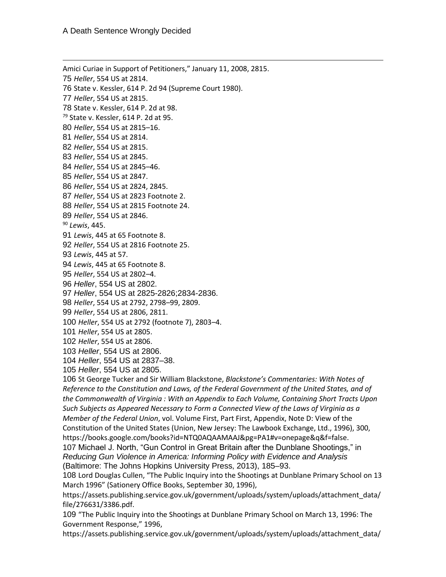Amici Curiae in Support of Petitioners," January 11, 2008, 2815. *Heller*, 554 US at 2814. State v. Kessler, 614 P. 2d 94 (Supreme Court 1980). *Heller*, 554 US at 2815. State v. Kessler, 614 P. 2d at 98. State v. Kessler, 614 P. 2d at 95. *Heller*, 554 US at 2815–16. *Heller*, 554 US at 2814. *Heller*, 554 US at 2815. *Heller*, 554 US at 2845. *Heller*, 554 US at 2845–46. *Heller*, 554 US at 2847. *Heller*, 554 US at 2824, 2845. *Heller*, 554 US at 2823 Footnote 2. *Heller*, 554 US at 2815 Footnote 24. *Heller*, 554 US at 2846. *Lewis*, 445. *Lewis*, 445 at 65 Footnote 8. *Heller*, 554 US at 2816 Footnote 25. *Lewis*, 445 at 57. *Lewis*, 445 at 65 Footnote 8. *Heller*, 554 US at 2802–4. *Heller*, 554 US at 2802. *Heller*, 554 US at 2825-2826;2834-2836. *Heller*, 554 US at 2792, 2798–99, 2809. *Heller*, 554 US at 2806, 2811. *Heller*, 554 US at 2792 (footnote 7), 2803–4. *Heller*, 554 US at 2805. *Heller*, 554 US at 2806. *Heller*, 554 US at 2806. *Heller*, 554 US at 2837–38. *Heller*, 554 US at 2805. St George Tucker and Sir William Blackstone, *Blackstone's Commentaries: With Notes of Reference to the Constitution and Laws, of the Federal Government of the United States, and of the Commonwealth of Virginia : With an Appendix to Each Volume, Containing Short Tracts Upon Such Subjects as Appeared Necessary to Form a Connected View of the Laws of Virginia as a Member of the Federal Union*, vol. Volume First, Part First, Appendix, Note D: View of the Constitution of the United States (Union, New Jersey: The Lawbook Exchange, Ltd., 1996), 300, https://books.google.com/books?id=NTQ0AQAAMAAJ&pg=PA1#v=onepage&q&f=false. Michael J. North, "Gun Control in Great Britain after the Dunblane Shootings," in *Reducing Gun Violence in America: Informing Policy with Evidence and Analysis* (Baltimore: The Johns Hopkins University Press, 2013), 185–93.

 Lord Douglas Cullen, "The Public Inquiry into the Shootings at Dunblane Primary School on 13 March 1996" (Sationery Office Books, September 30, 1996),

https://assets.publishing.service.gov.uk/government/uploads/system/uploads/attachment\_data/ file/276631/3386.pdf.

 "The Public Inquiry into the Shootings at Dunblane Primary School on March 13, 1996: The Government Response," 1996,

https://assets.publishing.service.gov.uk/government/uploads/system/uploads/attachment\_data/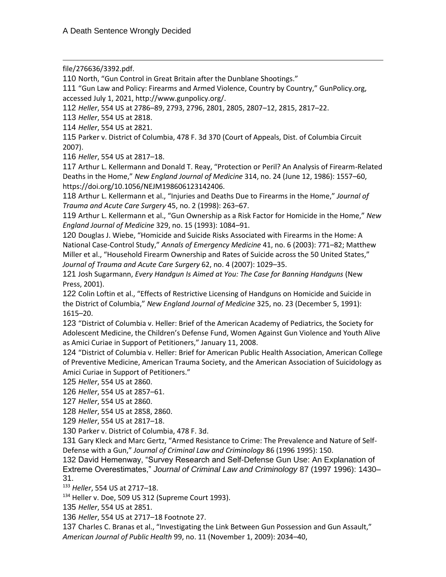file/276636/3392.pdf.

110 North, "Gun Control in Great Britain after the Dunblane Shootings."

111 "Gun Law and Policy: Firearms and Armed Violence, Country by Country," GunPolicy.org, accessed July 1, 2021, http://www.gunpolicy.org/.

112 *Heller*, 554 US at 2786–89, 2793, 2796, 2801, 2805, 2807–12, 2815, 2817–22.

113 *Heller*, 554 US at 2818.

114 *Heller*, 554 US at 2821.

115 Parker v. District of Columbia, 478 F. 3d 370 (Court of Appeals, Dist. of Columbia Circuit 2007).

116 *Heller*, 554 US at 2817–18.

117 Arthur L. Kellermann and Donald T. Reay, "Protection or Peril? An Analysis of Firearm-Related Deaths in the Home," *New England Journal of Medicine* 314, no. 24 (June 12, 1986): 1557–60, https://doi.org/10.1056/NEJM198606123142406.

118 Arthur L. Kellermann et al., "Injuries and Deaths Due to Firearms in the Home," *Journal of Trauma and Acute Care Surgery* 45, no. 2 (1998): 263–67.

119 Arthur L. Kellermann et al., "Gun Ownership as a Risk Factor for Homicide in the Home," *New England Journal of Medicine* 329, no. 15 (1993): 1084–91.

120 Douglas J. Wiebe, "Homicide and Suicide Risks Associated with Firearms in the Home: A National Case-Control Study," *Annals of Emergency Medicine* 41, no. 6 (2003): 771–82; Matthew Miller et al., "Household Firearm Ownership and Rates of Suicide across the 50 United States," *Journal of Trauma and Acute Care Surgery* 62, no. 4 (2007): 1029–35.

121 Josh Sugarmann, *Every Handgun Is Aimed at You: The Case for Banning Handguns* (New Press, 2001).

122 Colin Loftin et al., "Effects of Restrictive Licensing of Handguns on Homicide and Suicide in the District of Columbia," *New England Journal of Medicine* 325, no. 23 (December 5, 1991): 1615–20.

123 "District of Columbia v. Heller: Brief of the American Academy of Pediatrics, the Society for Adolescent Medicine, the Children's Defense Fund, Women Against Gun Violence and Youth Alive as Amici Curiae in Support of Petitioners," January 11, 2008.

124 "District of Columbia v. Heller: Brief for American Public Health Association, American College of Preventive Medicine, American Trauma Society, and the American Association of Suicidology as Amici Curiae in Support of Petitioners."

125 *Heller*, 554 US at 2860.

126 *Heller*, 554 US at 2857–61.

127 *Heller*, 554 US at 2860.

128 *Heller*, 554 US at 2858, 2860.

129 *Heller*, 554 US at 2817–18.

130 Parker v. District of Columbia, 478 F. 3d.

131 Gary Kleck and Marc Gertz, "Armed Resistance to Crime: The Prevalence and Nature of Self-Defense with a Gun," *Journal of Criminal Law and Criminology* 86 (1996 1995): 150.

132 David Hemenway, "Survey Research and Self-Defense Gun Use: An Explanation of Extreme Overestimates," *Journal of Criminal Law and Criminology* 87 (1997 1996): 1430– 31.

<sup>133</sup> *Heller*, 554 US at 2717–18.

134 Heller v. Doe, 509 US 312 (Supreme Court 1993).

135 *Heller*, 554 US at 2851.

136 *Heller*, 554 US at 2717–18 Footnote 27.

137 Charles C. Branas et al., "Investigating the Link Between Gun Possession and Gun Assault," *American Journal of Public Health* 99, no. 11 (November 1, 2009): 2034–40,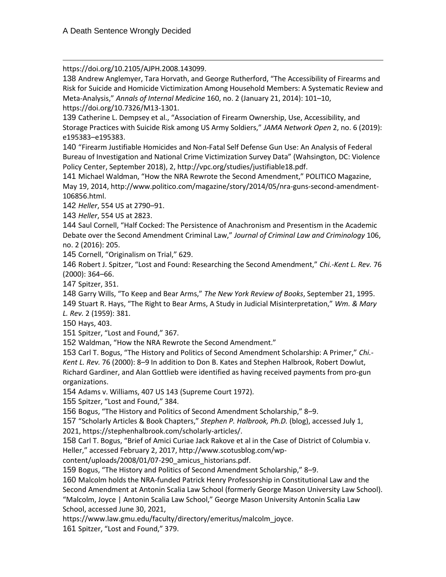https://doi.org/10.2105/AJPH.2008.143099.

138 Andrew Anglemyer, Tara Horvath, and George Rutherford, "The Accessibility of Firearms and Risk for Suicide and Homicide Victimization Among Household Members: A Systematic Review and Meta-Analysis," *Annals of Internal Medicine* 160, no. 2 (January 21, 2014): 101–10, https://doi.org/10.7326/M13-1301.

139 Catherine L. Dempsey et al., "Association of Firearm Ownership, Use, Accessibility, and Storage Practices with Suicide Risk among US Army Soldiers," *JAMA Network Open* 2, no. 6 (2019): e195383–e195383.

140 "Firearm Justifiable Homicides and Non-Fatal Self Defense Gun Use: An Analysis of Federal Bureau of Investigation and National Crime Victimization Survey Data" (Wahsington, DC: Violence Policy Center, September 2018), 2, http://vpc.org/studies/justifiable18.pdf.

141 Michael Waldman, "How the NRA Rewrote the Second Amendment," POLITICO Magazine, May 19, 2014, http://www.politico.com/magazine/story/2014/05/nra-guns-second-amendment-106856.html.

142 *Heller*, 554 US at 2790–91.

143 *Heller*, 554 US at 2823.

144 Saul Cornell, "Half Cocked: The Persistence of Anachronism and Presentism in the Academic Debate over the Second Amendment Criminal Law," *Journal of Criminal Law and Criminology* 106, no. 2 (2016): 205.

145 Cornell, "Originalism on Trial," 629.

146 Robert J. Spitzer, "Lost and Found: Researching the Second Amendment," *Chi.-Kent L. Rev.* 76 (2000): 364–66.

147 Spitzer, 351.

148 Garry Wills, "To Keep and Bear Arms," *The New York Review of Books*, September 21, 1995. 149 Stuart R. Hays, "The Right to Bear Arms, A Study in Judicial Misinterpretation," *Wm. & Mary* 

*L. Rev.* 2 (1959): 381.

150 Hays, 403.

151 Spitzer, "Lost and Found," 367.

152 Waldman, "How the NRA Rewrote the Second Amendment."

153 Carl T. Bogus, "The History and Politics of Second Amendment Scholarship: A Primer," *Chi.- Kent L. Rev.* 76 (2000): 8–9 In addition to Don B. Kates and Stephen Halbrook, Robert Dowlut, Richard Gardiner, and Alan Gottlieb were identified as having received payments from pro-gun organizations.

154 Adams v. Williams, 407 US 143 (Supreme Court 1972).

155 Spitzer, "Lost and Found," 384.

156 Bogus, "The History and Politics of Second Amendment Scholarship," 8–9.

157 "Scholarly Articles & Book Chapters," *Stephen P. Halbrook, Ph.D.* (blog), accessed July 1,

2021, https://stephenhalbrook.com/scholarly-articles/.

158 Carl T. Bogus, "Brief of Amici Curiae Jack Rakove et al in the Case of District of Columbia v. Heller," accessed February 2, 2017, http://www.scotusblog.com/wp-

content/uploads/2008/01/07-290\_amicus\_historians.pdf.

159 Bogus, "The History and Politics of Second Amendment Scholarship," 8–9.

160 Malcolm holds the NRA-funded Patrick Henry Professorship in Constitutional Law and the Second Amendment at Antonin Scalia Law School (formerly George Mason University Law School). "Malcolm, Joyce | Antonin Scalia Law School," George Mason University Antonin Scalia Law School, accessed June 30, 2021,

https://www.law.gmu.edu/faculty/directory/emeritus/malcolm\_joyce.

161 Spitzer, "Lost and Found," 379.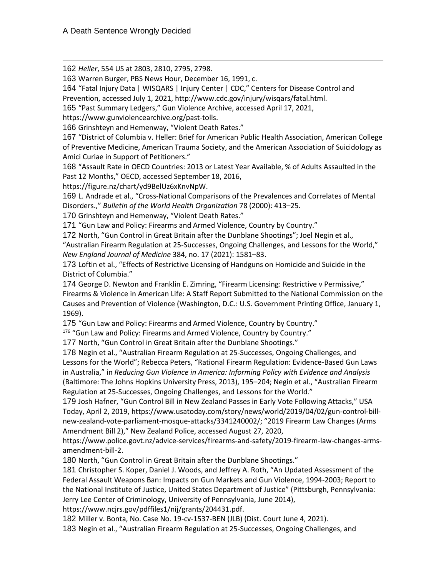162 *Heller*, 554 US at 2803, 2810, 2795, 2798.

163 Warren Burger, PBS News Hour, December 16, 1991, c.

164 "Fatal Injury Data | WISQARS | Injury Center | CDC," Centers for Disease Control and Prevention, accessed July 1, 2021, http://www.cdc.gov/injury/wisqars/fatal.html.

165 "Past Summary Ledgers," Gun Violence Archive, accessed April 17, 2021,

https://www.gunviolencearchive.org/past-tolls.

166 Grinshteyn and Hemenway, "Violent Death Rates."

167 "District of Columbia v. Heller: Brief for American Public Health Association, American College of Preventive Medicine, American Trauma Society, and the American Association of Suicidology as Amici Curiae in Support of Petitioners."

168 "Assault Rate in OECD Countries: 2013 or Latest Year Available, % of Adults Assaulted in the Past 12 Months," OECD, accessed September 18, 2016,

https://figure.nz/chart/yd9BelUz6xKnvNpW.

169 L. Andrade et al., "Cross-National Comparisons of the Prevalences and Correlates of Mental Disorders.," *Bulletin of the World Health Organization* 78 (2000): 413–25.

170 Grinshteyn and Hemenway, "Violent Death Rates."

171 "Gun Law and Policy: Firearms and Armed Violence, Country by Country."

172 North, "Gun Control in Great Britain after the Dunblane Shootings"; Joel Negin et al., "Australian Firearm Regulation at 25-Successes, Ongoing Challenges, and Lessons for the World,"

*New England Journal of Medicine* 384, no. 17 (2021): 1581–83.

173 Loftin et al., "Effects of Restrictive Licensing of Handguns on Homicide and Suicide in the District of Columbia."

174 George D. Newton and Franklin E. Zimring, "Firearm Licensing: Restrictive v Permissive," Firearms & Violence in American Life: A Staff Report Submitted to the National Commission on the Causes and Prevention of Violence (Washington, D.C.: U.S. Government Printing Office, January 1, 1969).

175 "Gun Law and Policy: Firearms and Armed Violence, Country by Country."

<sup>176</sup> "Gun Law and Policy: Firearms and Armed Violence, Country by Country."

177 North, "Gun Control in Great Britain after the Dunblane Shootings."

178 Negin et al., "Australian Firearm Regulation at 25-Successes, Ongoing Challenges, and Lessons for the World"; Rebecca Peters, "Rational Firearm Regulation: Evidence-Based Gun Laws in Australia," in *Reducing Gun Violence in America: Informing Policy with Evidence and Analysis* (Baltimore: The Johns Hopkins University Press, 2013), 195–204; Negin et al., "Australian Firearm Regulation at 25-Successes, Ongoing Challenges, and Lessons for the World."

179 Josh Hafner, "Gun Control Bill in New Zealand Passes in Early Vote Following Attacks," USA Today, April 2, 2019, https://www.usatoday.com/story/news/world/2019/04/02/gun-control-billnew-zealand-vote-parliament-mosque-attacks/3341240002/; "2019 Firearm Law Changes (Arms Amendment Bill 2)," New Zealand Police, accessed August 27, 2020,

https://www.police.govt.nz/advice-services/firearms-and-safety/2019-firearm-law-changes-armsamendment-bill-2.

180 North, "Gun Control in Great Britain after the Dunblane Shootings."

181 Christopher S. Koper, Daniel J. Woods, and Jeffrey A. Roth, "An Updated Assessment of the Federal Assault Weapons Ban: Impacts on Gun Markets and Gun Violence, 1994-2003; Report to the National Institute of Justice, United States Department of Justice" (Pittsburgh, Pennsylvania: Jerry Lee Center of Criminology, University of Pennsylvania, June 2014),

https://www.ncjrs.gov/pdffiles1/nij/grants/204431.pdf.

182 Miller v. Bonta, No. Case No. 19-cv-1537-BEN (JLB) (Dist. Court June 4, 2021).

183 Negin et al., "Australian Firearm Regulation at 25-Successes, Ongoing Challenges, and